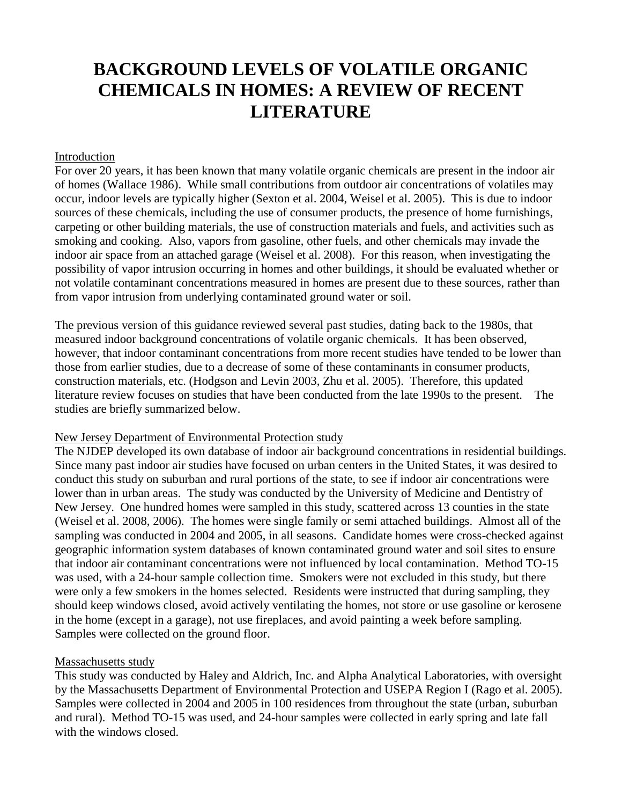# **BACKGROUND LEVELS OF VOLATILE ORGANIC CHEMICALS IN HOMES: A REVIEW OF RECENT LITERATURE**

#### Introduction

For over 20 years, it has been known that many volatile organic chemicals are present in the indoor air of homes (Wallace 1986). While small contributions from outdoor air concentrations of volatiles may occur, indoor levels are typically higher (Sexton et al. 2004, Weisel et al. 2005). This is due to indoor sources of these chemicals, including the use of consumer products, the presence of home furnishings, carpeting or other building materials, the use of construction materials and fuels, and activities such as smoking and cooking. Also, vapors from gasoline, other fuels, and other chemicals may invade the indoor air space from an attached garage (Weisel et al. 2008). For this reason, when investigating the possibility of vapor intrusion occurring in homes and other buildings, it should be evaluated whether or not volatile contaminant concentrations measured in homes are present due to these sources, rather than from vapor intrusion from underlying contaminated ground water or soil.

The previous version of this guidance reviewed several past studies, dating back to the 1980s, that measured indoor background concentrations of volatile organic chemicals. It has been observed, however, that indoor contaminant concentrations from more recent studies have tended to be lower than those from earlier studies, due to a decrease of some of these contaminants in consumer products, construction materials, etc. (Hodgson and Levin 2003, Zhu et al. 2005). Therefore, this updated literature review focuses on studies that have been conducted from the late 1990s to the present. The studies are briefly summarized below.

#### New Jersey Department of Environmental Protection study

The NJDEP developed its own database of indoor air background concentrations in residential buildings. Since many past indoor air studies have focused on urban centers in the United States, it was desired to conduct this study on suburban and rural portions of the state, to see if indoor air concentrations were lower than in urban areas. The study was conducted by the University of Medicine and Dentistry of New Jersey. One hundred homes were sampled in this study, scattered across 13 counties in the state (Weisel et al. 2008, 2006). The homes were single family or semi attached buildings. Almost all of the sampling was conducted in 2004 and 2005, in all seasons. Candidate homes were cross-checked against geographic information system databases of known contaminated ground water and soil sites to ensure that indoor air contaminant concentrations were not influenced by local contamination. Method TO-15 was used, with a 24-hour sample collection time. Smokers were not excluded in this study, but there were only a few smokers in the homes selected. Residents were instructed that during sampling, they should keep windows closed, avoid actively ventilating the homes, not store or use gasoline or kerosene in the home (except in a garage), not use fireplaces, and avoid painting a week before sampling. Samples were collected on the ground floor.

## Massachusetts study

This study was conducted by Haley and Aldrich, Inc. and Alpha Analytical Laboratories, with oversight by the Massachusetts Department of Environmental Protection and USEPA Region I (Rago et al. 2005). Samples were collected in 2004 and 2005 in 100 residences from throughout the state (urban, suburban and rural). Method TO-15 was used, and 24-hour samples were collected in early spring and late fall with the windows closed.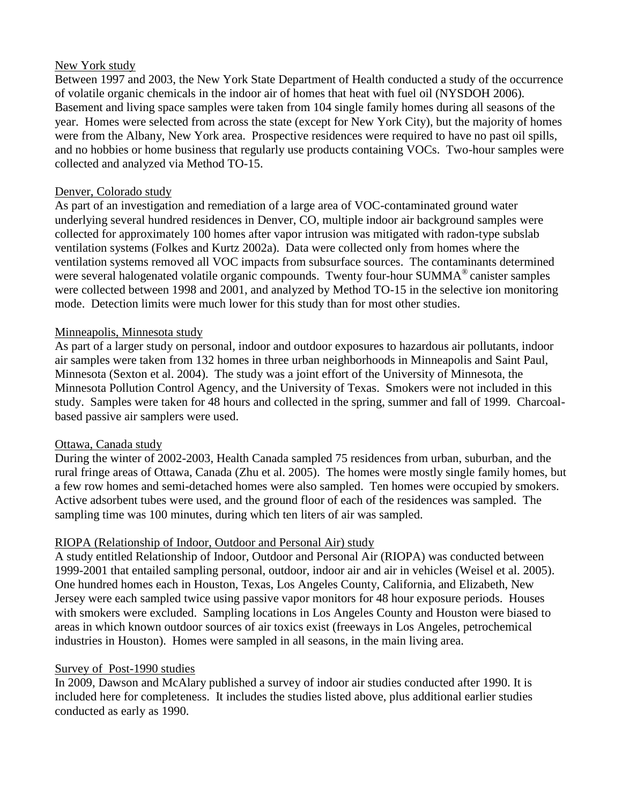#### New York study

Between 1997 and 2003, the New York State Department of Health conducted a study of the occurrence of volatile organic chemicals in the indoor air of homes that heat with fuel oil (NYSDOH 2006). Basement and living space samples were taken from 104 single family homes during all seasons of the year. Homes were selected from across the state (except for New York City), but the majority of homes were from the Albany, New York area. Prospective residences were required to have no past oil spills, and no hobbies or home business that regularly use products containing VOCs. Two-hour samples were collected and analyzed via Method TO-15.

## Denver, Colorado study

As part of an investigation and remediation of a large area of VOC-contaminated ground water underlying several hundred residences in Denver, CO, multiple indoor air background samples were collected for approximately 100 homes after vapor intrusion was mitigated with radon-type subslab ventilation systems (Folkes and Kurtz 2002a). Data were collected only from homes where the ventilation systems removed all VOC impacts from subsurface sources. The contaminants determined were several halogenated volatile organic compounds. Twenty four-hour SUMMA<sup>®</sup> canister samples were collected between 1998 and 2001, and analyzed by Method TO-15 in the selective ion monitoring mode. Detection limits were much lower for this study than for most other studies.

# Minneapolis, Minnesota study

As part of a larger study on personal, indoor and outdoor exposures to hazardous air pollutants, indoor air samples were taken from 132 homes in three urban neighborhoods in Minneapolis and Saint Paul, Minnesota (Sexton et al. 2004). The study was a joint effort of the University of Minnesota, the Minnesota Pollution Control Agency, and the University of Texas. Smokers were not included in this study. Samples were taken for 48 hours and collected in the spring, summer and fall of 1999. Charcoalbased passive air samplers were used.

## Ottawa, Canada study

During the winter of 2002-2003, Health Canada sampled 75 residences from urban, suburban, and the rural fringe areas of Ottawa, Canada (Zhu et al. 2005). The homes were mostly single family homes, but a few row homes and semi-detached homes were also sampled. Ten homes were occupied by smokers. Active adsorbent tubes were used, and the ground floor of each of the residences was sampled. The sampling time was 100 minutes, during which ten liters of air was sampled.

# RIOPA (Relationship of Indoor, Outdoor and Personal Air) study

A study entitled Relationship of Indoor, Outdoor and Personal Air (RIOPA) was conducted between 1999-2001 that entailed sampling personal, outdoor, indoor air and air in vehicles (Weisel et al. 2005). One hundred homes each in Houston, Texas, Los Angeles County, California, and Elizabeth, New Jersey were each sampled twice using passive vapor monitors for 48 hour exposure periods. Houses with smokers were excluded. Sampling locations in Los Angeles County and Houston were biased to areas in which known outdoor sources of air toxics exist (freeways in Los Angeles, petrochemical industries in Houston). Homes were sampled in all seasons, in the main living area.

## Survey of Post-1990 studies

In 2009, Dawson and McAlary published a survey of indoor air studies conducted after 1990. It is included here for completeness. It includes the studies listed above, plus additional earlier studies conducted as early as 1990.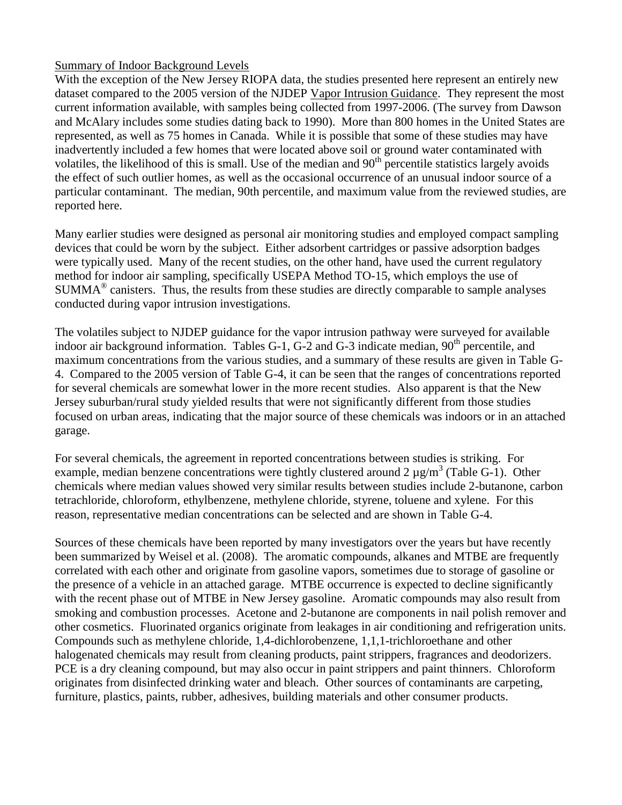# Summary of Indoor Background Levels

With the exception of the New Jersey RIOPA data, the studies presented here represent an entirely new dataset compared to the 2005 version of the NJDEP Vapor Intrusion Guidance. They represent the most current information available, with samples being collected from 1997-2006. (The survey from Dawson and McAlary includes some studies dating back to 1990). More than 800 homes in the United States are represented, as well as 75 homes in Canada. While it is possible that some of these studies may have inadvertently included a few homes that were located above soil or ground water contaminated with volatiles, the likelihood of this is small. Use of the median and  $90<sup>th</sup>$  percentile statistics largely avoids the effect of such outlier homes, as well as the occasional occurrence of an unusual indoor source of a particular contaminant. The median, 90th percentile, and maximum value from the reviewed studies, are reported here.

Many earlier studies were designed as personal air monitoring studies and employed compact sampling devices that could be worn by the subject. Either adsorbent cartridges or passive adsorption badges were typically used. Many of the recent studies, on the other hand, have used the current regulatory method for indoor air sampling, specifically USEPA Method TO-15, which employs the use of SUMMA® canisters. Thus, the results from these studies are directly comparable to sample analyses conducted during vapor intrusion investigations.

The volatiles subject to NJDEP guidance for the vapor intrusion pathway were surveyed for available indoor air background information. Tables G-1, G-2 and G-3 indicate median,  $90<sup>th</sup>$  percentile, and maximum concentrations from the various studies, and a summary of these results are given in Table G-4. Compared to the 2005 version of Table G-4, it can be seen that the ranges of concentrations reported for several chemicals are somewhat lower in the more recent studies. Also apparent is that the New Jersey suburban/rural study yielded results that were not significantly different from those studies focused on urban areas, indicating that the major source of these chemicals was indoors or in an attached garage.

For several chemicals, the agreement in reported concentrations between studies is striking. For example, median benzene concentrations were tightly clustered around 2  $\mu$ g/m<sup>3</sup> (Table G-1). Other chemicals where median values showed very similar results between studies include 2-butanone, carbon tetrachloride, chloroform, ethylbenzene, methylene chloride, styrene, toluene and xylene. For this reason, representative median concentrations can be selected and are shown in Table G-4.

Sources of these chemicals have been reported by many investigators over the years but have recently been summarized by Weisel et al. (2008). The aromatic compounds, alkanes and MTBE are frequently correlated with each other and originate from gasoline vapors, sometimes due to storage of gasoline or the presence of a vehicle in an attached garage. MTBE occurrence is expected to decline significantly with the recent phase out of MTBE in New Jersey gasoline. Aromatic compounds may also result from smoking and combustion processes. Acetone and 2-butanone are components in nail polish remover and other cosmetics. Fluorinated organics originate from leakages in air conditioning and refrigeration units. Compounds such as methylene chloride, 1,4-dichlorobenzene, 1,1,1-trichloroethane and other halogenated chemicals may result from cleaning products, paint strippers, fragrances and deodorizers. PCE is a dry cleaning compound, but may also occur in paint strippers and paint thinners. Chloroform originates from disinfected drinking water and bleach. Other sources of contaminants are carpeting, furniture, plastics, paints, rubber, adhesives, building materials and other consumer products.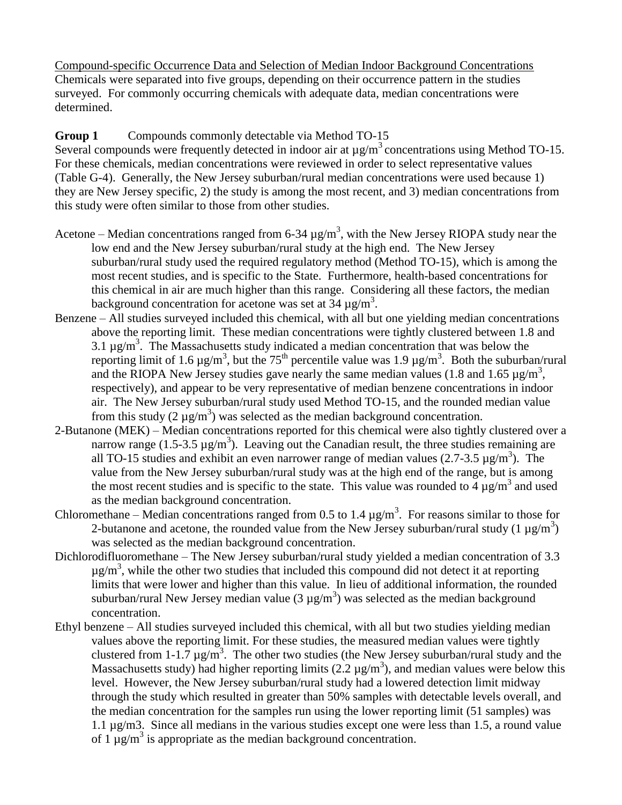Compound-specific Occurrence Data and Selection of Median Indoor Background Concentrations Chemicals were separated into five groups, depending on their occurrence pattern in the studies surveyed. For commonly occurring chemicals with adequate data, median concentrations were determined.

**Group 1** Compounds commonly detectable via Method TO-15 Several compounds were frequently detected in indoor air at  $\mu$ g/m<sup>3</sup> concentrations using Method TO-15. For these chemicals, median concentrations were reviewed in order to select representative values (Table G-4). Generally, the New Jersey suburban/rural median concentrations were used because 1) they are New Jersey specific, 2) the study is among the most recent, and 3) median concentrations from

this study were often similar to those from other studies.

- Acetone Median concentrations ranged from 6-34  $\mu$ g/m<sup>3</sup>, with the New Jersey RIOPA study near the low end and the New Jersey suburban/rural study at the high end. The New Jersey suburban/rural study used the required regulatory method (Method TO-15), which is among the most recent studies, and is specific to the State. Furthermore, health-based concentrations for this chemical in air are much higher than this range. Considering all these factors, the median background concentration for acetone was set at  $34 \mu g/m^3$ .
- Benzene All studies surveyed included this chemical, with all but one yielding median concentrations above the reporting limit. These median concentrations were tightly clustered between 1.8 and 3.1  $\mu$ g/m<sup>3</sup>. The Massachusetts study indicated a median concentration that was below the reporting limit of 1.6  $\mu$ g/m<sup>3</sup>, but the 75<sup>th</sup> percentile value was 1.9  $\mu$ g/m<sup>3</sup>. Both the suburban/rural and the RIOPA New Jersey studies gave nearly the same median values (1.8 and 1.65  $\mu$ g/m<sup>3</sup>, respectively), and appear to be very representative of median benzene concentrations in indoor air. The New Jersey suburban/rural study used Method TO-15, and the rounded median value from this study  $(2 \mu g/m^3)$  was selected as the median background concentration.
- 2-Butanone (MEK) Median concentrations reported for this chemical were also tightly clustered over a narrow range (1.5-3.5  $\mu$ g/m<sup>3</sup>). Leaving out the Canadian result, the three studies remaining are all TO-15 studies and exhibit an even narrower range of median values  $(2.7-3.5 \text{ µg/m}^3)$ . The value from the New Jersey suburban/rural study was at the high end of the range, but is among the most recent studies and is specific to the state. This value was rounded to  $\frac{4}{4} \mu$ g/m<sup>3</sup> and used as the median background concentration.
- Chloromethane Median concentrations ranged from 0.5 to 1.4  $\mu$ g/m<sup>3</sup>. For reasons similar to those for 2-butanone and acetone, the rounded value from the New Jersey suburban/rural study  $(1 \mu g/m^3)$ was selected as the median background concentration.
- Dichlorodifluoromethane The New Jersey suburban/rural study yielded a median concentration of 3.3  $\mu$ g/m<sup>3</sup>, while the other two studies that included this compound did not detect it at reporting limits that were lower and higher than this value. In lieu of additional information, the rounded suburban/rural New Jersey median value  $(3 \mu g/m^3)$  was selected as the median background concentration.
- Ethyl benzene All studies surveyed included this chemical, with all but two studies yielding median values above the reporting limit. For these studies, the measured median values were tightly clustered from 1-1.7  $\mu$ g/m<sup>3</sup>. The other two studies (the New Jersey suburban/rural study and the Massachusetts study) had higher reporting limits  $(2.2 \mu g/m^3)$ , and median values were below this level. However, the New Jersey suburban/rural study had a lowered detection limit midway through the study which resulted in greater than 50% samples with detectable levels overall, and the median concentration for the samples run using the lower reporting limit (51 samples) was 1.1 µg/m3. Since all medians in the various studies except one were less than 1.5, a round value of  $1 \mu g/m^3$  is appropriate as the median background concentration.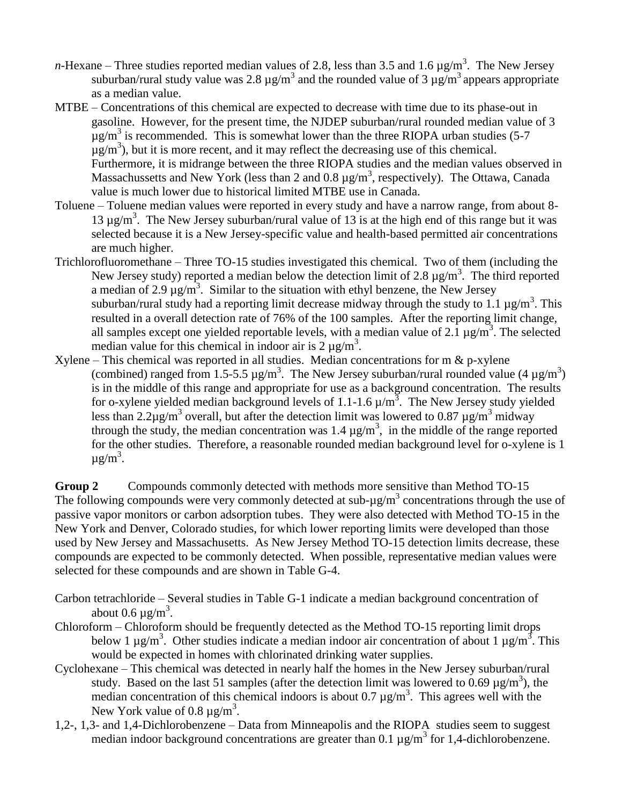- *n*-Hexane Three studies reported median values of 2.8, less than 3.5 and 1.6  $\mu$ g/m<sup>3</sup>. The New Jersey suburban/rural study value was 2.8  $\mu$ g/m<sup>3</sup> and the rounded value of 3  $\mu$ g/m<sup>3</sup> appears appropriate as a median value.
- MTBE Concentrations of this chemical are expected to decrease with time due to its phase-out in gasoline. However, for the present time, the NJDEP suburban/rural rounded median value of 3  $\mu$ g/m<sup>3</sup> is recommended. This is somewhat lower than the three RIOPA urban studies (5-7)  $\mu$ g/m<sup>3</sup>), but it is more recent, and it may reflect the decreasing use of this chemical. Furthermore, it is midrange between the three RIOPA studies and the median values observed in Massachussetts and New York (less than 2 and 0.8  $\mu$ g/m<sup>3</sup>, respectively). The Ottawa, Canada value is much lower due to historical limited MTBE use in Canada.
- Toluene Toluene median values were reported in every study and have a narrow range, from about 8- 13  $\mu$ g/m<sup>3</sup>. The New Jersey suburban/rural value of 13 is at the high end of this range but it was selected because it is a New Jersey-specific value and health-based permitted air concentrations are much higher.
- Trichlorofluoromethane Three TO-15 studies investigated this chemical. Two of them (including the New Jersey study) reported a median below the detection limit of 2.8  $\mu$ g/m<sup>3</sup>. The third reported a median of 2.9  $\mu$ g/m<sup>3</sup>. Similar to the situation with ethyl benzene, the New Jersey suburban/rural study had a reporting limit decrease midway through the study to 1.1  $\mu$ g/m<sup>3</sup>. This resulted in a overall detection rate of 76% of the 100 samples. After the reporting limit change, all samples except one yielded reportable levels, with a median value of 2.1  $\mu$ g/m<sup>3</sup>. The selected median value for this chemical in indoor air is  $2 \mu g/m^3$ .
- Xylene This chemical was reported in all studies. Median concentrations for  $m \& p$ -xylene (combined) ranged from 1.5-5.5  $\mu$ g/m<sup>3</sup>. The New Jersey suburban/rural rounded value (4  $\mu$ g/m<sup>3</sup>) is in the middle of this range and appropriate for use as a background concentration. The results for o-xylene yielded median background levels of 1.1-1.6  $\mu/m^3$ . The New Jersey study yielded less than 2.2 $\mu$ g/m<sup>3</sup> overall, but after the detection limit was lowered to 0.87  $\mu$ g/m<sup>3</sup> midway through the study, the median concentration was 1.4  $\mu$ g/m<sup>3</sup>, in the middle of the range reported for the other studies. Therefore, a reasonable rounded median background level for o-xylene is 1  $\mu$ g/m<sup>3</sup>.

**Group 2** Compounds commonly detected with methods more sensitive than Method TO-15 The following compounds were very commonly detected at sub- $\mu$ g/m<sup>3</sup> concentrations through the use of passive vapor monitors or carbon adsorption tubes. They were also detected with Method TO-15 in the New York and Denver, Colorado studies, for which lower reporting limits were developed than those used by New Jersey and Massachusetts. As New Jersey Method TO-15 detection limits decrease, these compounds are expected to be commonly detected. When possible, representative median values were selected for these compounds and are shown in Table G-4.

- Carbon tetrachloride Several studies in Table G-1 indicate a median background concentration of about 0.6  $\mu$ g/m<sup>3</sup>.
- Chloroform Chloroform should be frequently detected as the Method TO-15 reporting limit drops below 1  $\mu$ g/m<sup>3</sup>. Other studies indicate a median indoor air concentration of about 1  $\mu$ g/m<sup>3</sup>. This would be expected in homes with chlorinated drinking water supplies.
- Cyclohexane This chemical was detected in nearly half the homes in the New Jersey suburban/rural study. Based on the last 51 samples (after the detection limit was lowered to 0.69  $\mu$ g/m<sup>3</sup>), the median concentration of this chemical indoors is about 0.7  $\mu$ g/m<sup>3</sup>. This agrees well with the New York value of 0.8  $\mu$ g/m<sup>3</sup>.
- 1,2-, 1,3- and 1,4-Dichlorobenzene Data from Minneapolis and the RIOPA studies seem to suggest median indoor background concentrations are greater than 0.1  $\mu$ g/m<sup>3</sup> for 1,4-dichlorobenzene.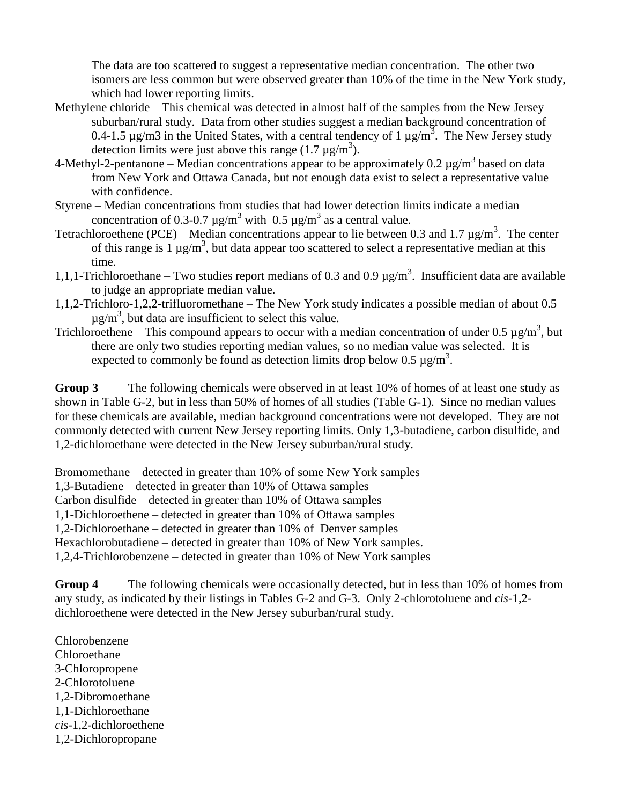The data are too scattered to suggest a representative median concentration. The other two isomers are less common but were observed greater than 10% of the time in the New York study, which had lower reporting limits.

- Methylene chloride This chemical was detected in almost half of the samples from the New Jersey suburban/rural study. Data from other studies suggest a median background concentration of 0.4-1.5  $\mu$ g/m3 in the United States, with a central tendency of 1  $\mu$ g/m<sup>3</sup>. The New Jersey study detection limits were just above this range  $(1.7 \mu g/m^3)$ .
- 4-Methyl-2-pentanone Median concentrations appear to be approximately 0.2  $\mu$ g/m<sup>3</sup> based on data from New York and Ottawa Canada, but not enough data exist to select a representative value with confidence.
- Styrene Median concentrations from studies that had lower detection limits indicate a median concentration of 0.3-0.7  $\mu$ g/m<sup>3</sup> with 0.5  $\mu$ g/m<sup>3</sup> as a central value.
- Tetrachloroethene (PCE) Median concentrations appear to lie between 0.3 and 1.7  $\mu$ g/m<sup>3</sup>. The center of this range is  $1 \mu g/m^3$ , but data appear too scattered to select a representative median at this time.
- 1,1,1-Trichloroethane Two studies report medians of 0.3 and 0.9  $\mu$ g/m<sup>3</sup>. Insufficient data are available to judge an appropriate median value.
- 1,1,2-Trichloro-1,2,2-trifluoromethane The New York study indicates a possible median of about 0.5  $\mu$ g/m<sup>3</sup>, but data are insufficient to select this value.
- Trichloroethene This compound appears to occur with a median concentration of under  $0.5 \mu g/m^3$ , but there are only two studies reporting median values, so no median value was selected. It is expected to commonly be found as detection limits drop below  $0.5 \mu g/m<sup>3</sup>$ .

**Group 3** The following chemicals were observed in at least 10% of homes of at least one study as shown in Table G-2, but in less than 50% of homes of all studies (Table G-1). Since no median values for these chemicals are available, median background concentrations were not developed. They are not commonly detected with current New Jersey reporting limits. Only 1,3-butadiene, carbon disulfide, and 1,2-dichloroethane were detected in the New Jersey suburban/rural study.

Bromomethane – detected in greater than 10% of some New York samples

1,3-Butadiene – detected in greater than 10% of Ottawa samples

Carbon disulfide – detected in greater than 10% of Ottawa samples

1,1-Dichloroethene – detected in greater than 10% of Ottawa samples

1,2-Dichloroethane – detected in greater than 10% of Denver samples

Hexachlorobutadiene – detected in greater than 10% of New York samples.

1,2,4-Trichlorobenzene – detected in greater than 10% of New York samples

**Group 4** The following chemicals were occasionally detected, but in less than 10% of homes from any study, as indicated by their listings in Tables G-2 and G-3. Only 2-chlorotoluene and *cis*-1,2 dichloroethene were detected in the New Jersey suburban/rural study.

Chlorobenzene Chloroethane 3-Chloropropene 2-Chlorotoluene 1,2-Dibromoethane 1,1-Dichloroethane *cis*-1,2-dichloroethene 1,2-Dichloropropane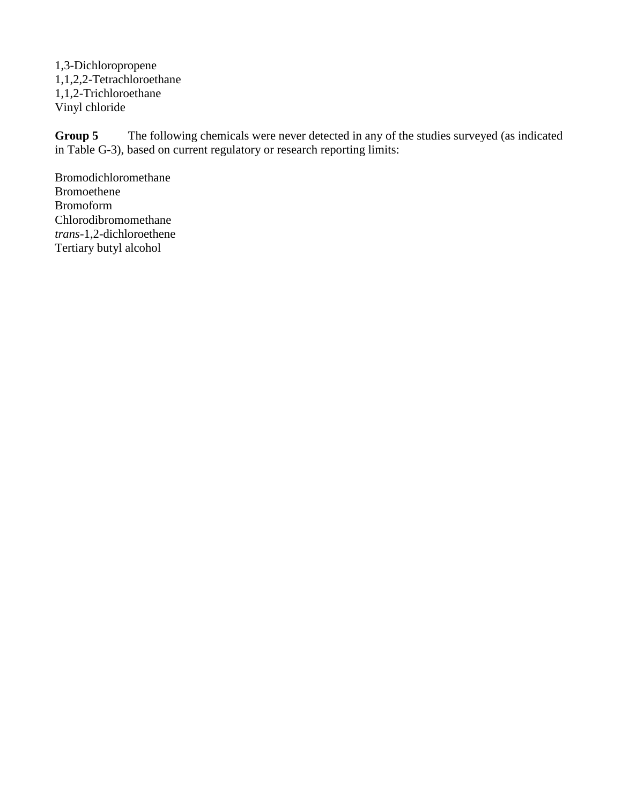1,3-Dichloropropene 1,1,2,2-Tetrachloroethane 1,1,2-Trichloroethane Vinyl chloride

**Group 5** The following chemicals were never detected in any of the studies surveyed (as indicated in Table G-3), based on current regulatory or research reporting limits:

Bromodichloromethane Bromoethene Bromoform Chlorodibromomethane *trans*-1,2-dichloroethene Tertiary butyl alcohol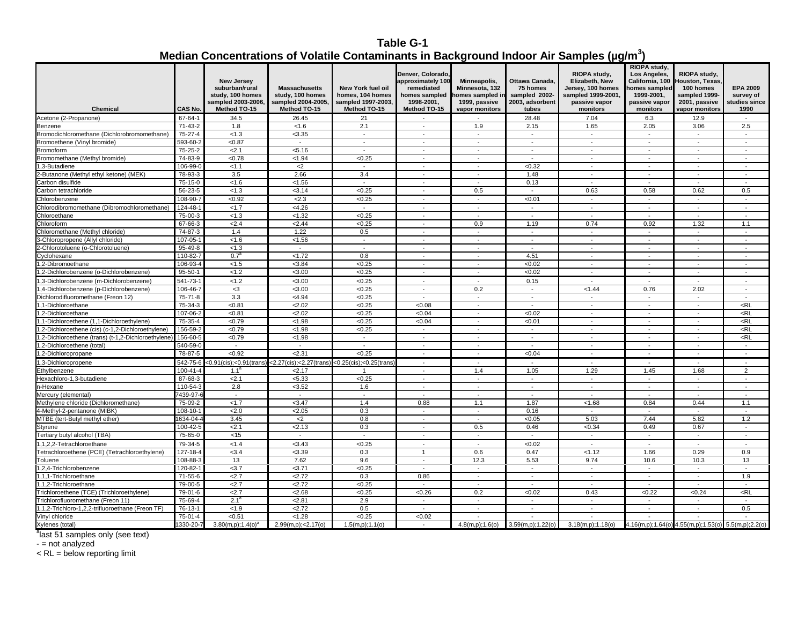# **Table G-1 Median Concentrations of Volatile Contaminants in Background Indoor Air Samples (µg/m<sup>3</sup> )**

| Chemical                                            | CAS No.                   | <b>New Jersey</b><br>suburban/rural<br>study, 100 homes<br>sampled 2003-2006,<br>Method TO-15 | <b>Massachusetts</b><br>study, 100 homes<br>sampled 2004-2005,<br>Method TO-15 | <b>New York fuel oil</b><br>homes, 104 homes<br>sampled 1997-2003.<br>Method TO-15 | Denver, Colorado,<br>approximately 10<br>remediated<br>homes sampled<br>1998-2001.<br>Method TO-15 | Minneapolis,<br>Minnesota, 132<br>omes sampled in<br>1999. passive<br>vapor monitors | Ottawa Canada.<br>75 homes<br>sampled 2002-<br>2003. adsorbent<br>tubes | RIOPA study,<br>Elizabeth, New<br>Jersey, 100 homes<br>sampled 1999-2001,<br>passive vapor<br>monitors | RIOPA study,<br>Los Angeles,<br>California, 100<br>nomes sampled<br>1999-2001,<br>passive vapor<br>monitors | RIOPA study,<br><b>Houston, Texas</b><br>100 homes<br>sampled 1999-<br>2001. passive<br>vapor monitors | <b>EPA 2009</b><br>survey of<br>studies since<br>1990 |
|-----------------------------------------------------|---------------------------|-----------------------------------------------------------------------------------------------|--------------------------------------------------------------------------------|------------------------------------------------------------------------------------|----------------------------------------------------------------------------------------------------|--------------------------------------------------------------------------------------|-------------------------------------------------------------------------|--------------------------------------------------------------------------------------------------------|-------------------------------------------------------------------------------------------------------------|--------------------------------------------------------------------------------------------------------|-------------------------------------------------------|
| Acetone (2-Propanone)                               | 67-64-1                   | 34.5                                                                                          | 26.45                                                                          | 21                                                                                 |                                                                                                    |                                                                                      | 28.48                                                                   | 7.04                                                                                                   | 6.3                                                                                                         | 12.9                                                                                                   | $\sim$                                                |
| Benzene                                             | 71-43-2                   | 1.8                                                                                           | < 1.6                                                                          | 2.1                                                                                | $\overline{\phantom{a}}$                                                                           | 1.9                                                                                  | 2.15                                                                    | 1.65                                                                                                   | 2.05                                                                                                        | 3.06                                                                                                   | 2.5                                                   |
| Bromodichloromethane (Dichlorobromomethane)         | 75-27-4                   | < 1.3                                                                                         | < 3.35                                                                         | $\sim$                                                                             | $\overline{\phantom{a}}$                                                                           | $\mathcal{L}$                                                                        | $\mathbf{r}$                                                            | $\mathcal{L}_{\mathcal{A}}$                                                                            | $\sim$                                                                                                      | $\sim$                                                                                                 | $\sim$                                                |
| Bromoethene (Vinyl bromide)                         | 593-60-2                  | < 0.87                                                                                        | ٠                                                                              | $\overline{\phantom{a}}$                                                           | ٠                                                                                                  | $\overline{\phantom{a}}$                                                             | $\overline{\phantom{a}}$                                                | $\overline{\phantom{a}}$                                                                               | $\overline{\phantom{a}}$                                                                                    | $\overline{\phantom{a}}$                                                                               | $\overline{\phantom{a}}$                              |
| <b>Bromoform</b>                                    | 75-25-2                   | 2.1                                                                                           | < 5.16                                                                         | $\overline{a}$                                                                     |                                                                                                    | $\overline{\phantom{a}}$                                                             | $\overline{\phantom{a}}$                                                | $\sim$                                                                                                 |                                                                                                             |                                                                                                        | $\overline{a}$                                        |
| Bromomethane (Methyl bromide)                       | 74-83-9                   | < 0.78                                                                                        | < 1.94                                                                         | < 0.25                                                                             | $\overline{\phantom{a}}$                                                                           | $\overline{\phantom{a}}$                                                             | $\overline{\phantom{a}}$                                                | $\overline{\phantom{a}}$                                                                               | $\overline{\phantom{a}}$                                                                                    | $\overline{\phantom{a}}$                                                                               | $\overline{\phantom{a}}$                              |
| .3-Butadiene                                        | 106-99-0                  | < 1.1                                                                                         | $2$                                                                            |                                                                                    |                                                                                                    |                                                                                      | < 0.32                                                                  |                                                                                                        |                                                                                                             |                                                                                                        |                                                       |
| -Butanone (Methyl ethyl ketone) (MEK)               | 78-93-3                   | 3.5                                                                                           | 2.66                                                                           | 3.4                                                                                | $\blacksquare$                                                                                     | $\sim$                                                                               | 1.48                                                                    | $\sim$                                                                                                 | $\overline{\phantom{a}}$                                                                                    | $\sim$                                                                                                 | $\overline{\phantom{a}}$                              |
| Carbon disulfide                                    | 75-15-0                   | < 1.6                                                                                         | < 1.56                                                                         | $\sim$                                                                             | $\overline{\phantom{a}}$                                                                           | $\overline{\phantom{a}}$                                                             | 0.13                                                                    | $\overline{\phantom{a}}$                                                                               | $\overline{\phantom{a}}$                                                                                    | $\overline{\phantom{a}}$                                                                               | $\blacksquare$                                        |
| Carbon tetrachloride                                | 56-23-5                   | < 1.3                                                                                         | < 3.14                                                                         | < 0.25                                                                             | $\sim$                                                                                             | 0.5                                                                                  | $\sim$                                                                  | 0.63                                                                                                   | 0.58                                                                                                        | 0.62                                                                                                   | 0.5                                                   |
| Chlorobenzene                                       | 108-90-7                  | < 0.92                                                                                        | 2.3                                                                            | < 0.25                                                                             | $\overline{\phantom{a}}$                                                                           | $\overline{\phantom{a}}$                                                             | < 0.01                                                                  | $\overline{\phantom{a}}$                                                                               | $\overline{\phantom{a}}$                                                                                    | $\overline{\phantom{a}}$                                                                               | $\overline{\phantom{a}}$                              |
|                                                     | 124-48-                   |                                                                                               | < 4.26                                                                         |                                                                                    | ÷,                                                                                                 | $\sim$                                                                               | $\blacksquare$                                                          |                                                                                                        | $\overline{\phantom{a}}$                                                                                    | $\sim$                                                                                                 | $\blacksquare$                                        |
| Chlorodibromomethane (Dibromochloromethane)         |                           | < 1.7                                                                                         |                                                                                | $\overline{\phantom{a}}$                                                           | $\sim$                                                                                             | $\sim$                                                                               | $\sim$                                                                  | $\blacksquare$<br>$\sim$                                                                               | $\sim$                                                                                                      | $\overline{\phantom{a}}$                                                                               | $\sim$                                                |
| Chloroethane                                        | 75-00-3                   | < 1.3                                                                                         | < 1.32                                                                         | < 0.25                                                                             |                                                                                                    |                                                                                      |                                                                         |                                                                                                        |                                                                                                             |                                                                                                        |                                                       |
| Chloroform                                          | 67-66-3                   | 2.4                                                                                           | 2.44                                                                           | < 0.25                                                                             | $\overline{a}$                                                                                     | 0.9<br>$\overline{a}$                                                                | 1.19                                                                    | 0.74<br>$\overline{a}$                                                                                 | 0.92<br>$\sim$                                                                                              | 1.32<br>$\sim$                                                                                         | 1.1<br>$\sim$                                         |
| Chloromethane (Methyl chloride)                     | 74-87-3                   | 1.4                                                                                           | 1.22                                                                           | 0.5                                                                                |                                                                                                    |                                                                                      | $\sim$                                                                  |                                                                                                        |                                                                                                             |                                                                                                        |                                                       |
| -Chloropropene (Allyl chloride)                     | $107 - 05 -$              | <1.6                                                                                          | < 1.56                                                                         | $\sim$                                                                             | $\overline{\phantom{a}}$                                                                           | $\overline{\phantom{a}}$                                                             | $\blacksquare$                                                          | $\overline{\phantom{a}}$                                                                               | $\overline{\phantom{a}}$                                                                                    | $\overline{\phantom{a}}$                                                                               | $\overline{\phantom{a}}$                              |
| -Chlorotoluene (o-Chlorotoluene)                    | 95-49-8                   | < 1.3                                                                                         |                                                                                |                                                                                    |                                                                                                    |                                                                                      |                                                                         |                                                                                                        |                                                                                                             |                                                                                                        |                                                       |
| Cyclohexane                                         | 110-82-7                  | 0.7 <sup>a</sup>                                                                              | < 1.72                                                                         | 0.8                                                                                | $\blacksquare$                                                                                     | $\sim$                                                                               | 4.51                                                                    | $\sim$                                                                                                 | $\overline{\phantom{a}}$                                                                                    | $\overline{\phantom{a}}$                                                                               | $\overline{\phantom{a}}$                              |
| .2-Dibromoethane                                    | 106-93-4                  | < 1.5                                                                                         | < 3.84                                                                         | < 0.25                                                                             | $\overline{\phantom{a}}$                                                                           | $\overline{\phantom{a}}$                                                             | <0.02                                                                   | $\overline{\phantom{a}}$                                                                               | $\overline{\phantom{a}}$                                                                                    | $\overline{\phantom{a}}$                                                                               | $\overline{\phantom{a}}$                              |
| 1,2-Dichlorobenzene (o-Dichlorobenzene)             | $95 - 50 - 1$             | < 1.2                                                                                         | < 3.00                                                                         | < 0.25                                                                             | $\sim$                                                                                             | $\mathcal{L}_{\mathcal{A}}$                                                          | <0.02                                                                   | $\sim$                                                                                                 | $\sim$                                                                                                      | $\sim$                                                                                                 | $\sim$                                                |
| ,3-Dichlorobenzene (m-Dichlorobenzene)              | $541 - 73 - 7$            | < 1.2                                                                                         | < 3.00                                                                         | < 0.25                                                                             | $\sim$                                                                                             | $\sim$                                                                               | 0.15                                                                    | $\overline{\phantom{a}}$                                                                               | $\sim$                                                                                                      | $\overline{\phantom{a}}$                                                                               | $\sim$                                                |
| .4-Dichlorobenzene (p-Dichlorobenzene)              | 106-46-7                  | $3$                                                                                           | < 3.00                                                                         | 50.25                                                                              | ÷,                                                                                                 | 0.2                                                                                  | $\overline{\phantom{a}}$                                                | < 1.44                                                                                                 | 0.76                                                                                                        | 2.02                                                                                                   | $\overline{\phantom{a}}$                              |
| Dichlorodifluoromethane (Freon 12)                  | 75-71-8                   | 3.3                                                                                           | < 4.94                                                                         | < 0.25                                                                             | $\sim$                                                                                             | $\sim$                                                                               | $\sim$                                                                  | $\sim$                                                                                                 | $\sim$                                                                                                      | $\sim$                                                                                                 | $\sim$                                                |
| .1-Dichloroethane                                   | 75-34-3                   | < 0.81                                                                                        | 2.02                                                                           | < 0.25                                                                             | < 0.08                                                                                             | $\overline{\phantom{a}}$                                                             | $\overline{\phantom{a}}$                                                | $\overline{\phantom{a}}$                                                                               | $\overline{\phantom{a}}$                                                                                    | $\overline{\phantom{a}}$                                                                               | $<$ RL                                                |
| 1,2-Dichloroethane                                  | 107-06-2                  | < 0.81                                                                                        | 2.02                                                                           | < 0.25                                                                             | < 0.04                                                                                             | $\sim$                                                                               | <0.02                                                                   | $\sim$                                                                                                 | $\sim$                                                                                                      | $\overline{\phantom{a}}$                                                                               | <rl< td=""></rl<>                                     |
| ,1-Dichloroethene (1,1-Dichloroethylene)            | 75-35-4                   | <0.79                                                                                         | < 1.98                                                                         | < 0.25                                                                             | <0.04                                                                                              | $\overline{\phantom{a}}$                                                             | < 0.01                                                                  | $\overline{\phantom{a}}$                                                                               | $\overline{\phantom{a}}$                                                                                    | $\overline{\phantom{a}}$                                                                               | $<$ RL                                                |
| ,2-Dichloroethene (cis) (c-1,2-Dichloroethylene)    | 156-59-                   | < 0.79                                                                                        | < 1.98                                                                         | < 0.25                                                                             |                                                                                                    |                                                                                      |                                                                         | $\sim$                                                                                                 |                                                                                                             |                                                                                                        | <rl< td=""></rl<>                                     |
| (2-Dichloroethene (trans) (t-1,2-Dichloroethylene). | 156-60-5                  | <0.79                                                                                         | < 1.98                                                                         | $\sim$                                                                             | $\blacksquare$                                                                                     | $\sim$                                                                               | $\sim$                                                                  | $\sim$                                                                                                 | $\overline{\phantom{a}}$                                                                                    | $\blacksquare$                                                                                         | <rl< td=""></rl<>                                     |
| ,2-Dichloroethene (total)                           | 540-59-0                  | $\sim$                                                                                        | $\blacksquare$                                                                 | $\blacksquare$                                                                     | $\overline{a}$                                                                                     | $\blacksquare$                                                                       | $\blacksquare$                                                          | $\blacksquare$                                                                                         | $\blacksquare$                                                                                              | $\overline{\phantom{a}}$                                                                               | $\blacksquare$                                        |
| .2-Dichloropropane                                  | 78-87-5                   | < 0.92                                                                                        | 2.31                                                                           | < 0.25                                                                             | $\sim$                                                                                             | $\sim$                                                                               | <0.04                                                                   | $\sim$                                                                                                 | $\sim$                                                                                                      | $\sim$                                                                                                 | $\sim$                                                |
| ,3-Dichloropropene                                  | 542-75-6                  | <0.91(cis);<0.91(trans)                                                                       | $<$ 2.27(cis); $<$ 2.27(trans)                                                 | $<$ 0.25(cis); $<$ 0.25(trans                                                      |                                                                                                    |                                                                                      | $\overline{\phantom{a}}$                                                |                                                                                                        |                                                                                                             |                                                                                                        | $\overline{\phantom{a}}$                              |
| Ethylbenzene                                        | $100 - 41 - 4$            | 1.1 <sup>6</sup>                                                                              | 2.17                                                                           | $\overline{1}$                                                                     | $\overline{a}$                                                                                     | 1.4                                                                                  | 1.05                                                                    | 1.29                                                                                                   | 1.45                                                                                                        | 1.68                                                                                                   | $\overline{2}$                                        |
| Hexachloro-1,3-butadiene                            | 87-68-3                   | 2.1                                                                                           | < 5.33                                                                         | < 0.25                                                                             | $\mathcal{L}_{\mathcal{A}}$                                                                        | $\sim$                                                                               | $\sim$                                                                  | $\sim$                                                                                                 | $\sim$                                                                                                      | $\sim$                                                                                                 | $\sim$                                                |
| -Hexane                                             | 110-54-3                  | 2.8                                                                                           | < 3.52                                                                         | 1.6                                                                                | $\overline{\phantom{a}}$                                                                           | $\sim$                                                                               | $\overline{\phantom{a}}$                                                | $\sim$                                                                                                 | $\overline{\phantom{a}}$                                                                                    | $\sim$                                                                                                 | $\blacksquare$                                        |
| Mercury (elemental)                                 | 7439-97                   | $\sim$                                                                                        | $\sim$                                                                         | $\sim$                                                                             | $\sim$                                                                                             | $\mathcal{L}_{\mathcal{A}}$                                                          | $\sim$                                                                  | $\sim$                                                                                                 | $\sim$                                                                                                      | $\sim$                                                                                                 | $\sim$                                                |
| Methylene chloride (Dichloromethane)                | 75-09-2                   | < 1.7                                                                                         | <3.47                                                                          | 1.4                                                                                | 0.88                                                                                               | 1.1                                                                                  | 1.87                                                                    | < 1.68                                                                                                 | 0.84                                                                                                        | 0.44                                                                                                   | 1.1                                                   |
| 4-Methyl-2-pentanone (MIBK)                         | 108-10-                   | 2.0                                                                                           | 2.05                                                                           | 0.3                                                                                | $\overline{\phantom{a}}$                                                                           | $\sim$                                                                               | 0.16                                                                    | $\overline{a}$                                                                                         | $\overline{\phantom{a}}$                                                                                    |                                                                                                        | $\sim$                                                |
| MTBE (tert-Butyl methyl ether)                      | 1634-04-                  | 3.45                                                                                          | $\leq$                                                                         | 0.8                                                                                | $\overline{\phantom{a}}$                                                                           | $\overline{\phantom{a}}$                                                             | <0.05                                                                   | 5.03                                                                                                   | 7.44                                                                                                        | 5.82                                                                                                   | 1.2                                                   |
| Styrene                                             | $100 - 42 -$              | 2.1                                                                                           | 2.13                                                                           | 0.3                                                                                | ٠                                                                                                  | 0.5                                                                                  | 0.46                                                                    | <0.34                                                                                                  | 0.49                                                                                                        | 0.67                                                                                                   | $\overline{a}$                                        |
| Tertiary butyl alcohol (TBA)                        | 75-65-0                   | < 15                                                                                          | $\sim$                                                                         | $\sim$                                                                             | $\sim$                                                                                             | $\sim$                                                                               | $\sim$                                                                  | $\sim$                                                                                                 | $\sim$                                                                                                      | $\overline{\phantom{a}}$                                                                               | $\sim$                                                |
|                                                     |                           |                                                                                               |                                                                                |                                                                                    |                                                                                                    |                                                                                      |                                                                         | $\sim$                                                                                                 |                                                                                                             |                                                                                                        |                                                       |
| ,1,2,2-Tetrachloroethane                            | 79-34-5<br>$127 - 18 - 4$ | < 1.4                                                                                         | < 3.43<br>< 3.39                                                               | <0.25<br>0.3                                                                       | ٠<br>$\overline{1}$                                                                                | 0.6                                                                                  | <0.02<br>0.47                                                           |                                                                                                        | $\overline{\phantom{a}}$<br>1.66                                                                            | 0.29                                                                                                   | 0.9                                                   |
| Tetrachloroethene (PCE) (Tetrachloroethylene)       |                           | < 3.4                                                                                         |                                                                                |                                                                                    |                                                                                                    |                                                                                      |                                                                         | < 1.12                                                                                                 |                                                                                                             |                                                                                                        |                                                       |
| Toluene                                             | 108-88-3<br>$120 - 82 -$  | 13<br><3.7                                                                                    | 7.62<br>$3.71$                                                                 | 9.6<br>< 0.25                                                                      | $\sim$                                                                                             | 12.3                                                                                 | 5.53                                                                    | 9.74                                                                                                   | 10.6                                                                                                        | 10.3                                                                                                   | 13                                                    |
| ,2,4-Trichlorobenzene                               |                           |                                                                                               |                                                                                |                                                                                    |                                                                                                    | $\blacksquare$                                                                       | $\overline{\phantom{a}}$                                                | $\blacksquare$                                                                                         | $\overline{\phantom{a}}$                                                                                    |                                                                                                        |                                                       |
| 1.1.1-Trichloroethane                               | 71-55-6                   | 2.7                                                                                           | 2.72                                                                           | 0.3                                                                                | 0.86                                                                                               | $\sim$                                                                               | $\sim$                                                                  | $\sim$                                                                                                 | $\sim$                                                                                                      | $\overline{a}$                                                                                         | 1.9                                                   |
| ,1,2-Trichloroethane                                | 79-00-5                   | 2.7                                                                                           | 2.72                                                                           | < 0.25                                                                             | $\overline{\phantom{a}}$                                                                           | $\overline{\phantom{a}}$                                                             | $\overline{\phantom{a}}$                                                | $\overline{\phantom{a}}$                                                                               | $\overline{\phantom{a}}$                                                                                    | $\overline{\phantom{a}}$                                                                               | $\sim$                                                |
| Trichloroethene (TCE) (Trichloroethylene)           | 79-01-6                   | 2.7                                                                                           | < 2.68                                                                         | <0.25                                                                              | < 0.26                                                                                             | 0.2                                                                                  | <0.02                                                                   | 0.43                                                                                                   | <0.22                                                                                                       | < 0.24                                                                                                 | $<$ RL                                                |
| richlorofluoromethane (Freon 11)                    | 75-69-4                   | $2.1^{\circ}$                                                                                 | 2.81                                                                           | 2.9                                                                                | $\overline{\phantom{a}}$                                                                           | $\overline{\phantom{a}}$                                                             | $\sim$                                                                  | $\overline{\phantom{a}}$                                                                               | $\overline{\phantom{a}}$                                                                                    | $\overline{\phantom{a}}$                                                                               | $\overline{\phantom{a}}$                              |
| ,1,2-Trichloro-1,2,2-trifluoroethane (Freon TF)     | 76-13-1                   | < 1.9                                                                                         | 2.72                                                                           | 0.5                                                                                | ÷,                                                                                                 | $\overline{\phantom{a}}$                                                             | $\sim$                                                                  | $\overline{\phantom{a}}$                                                                               | $\overline{\phantom{a}}$                                                                                    | $\overline{\phantom{a}}$                                                                               | 0.5                                                   |
| Vinyl chloride                                      | 75-01-4                   | < 0.51                                                                                        | < 1.28                                                                         | <0.25                                                                              | <0.02                                                                                              |                                                                                      |                                                                         | $\sim$                                                                                                 |                                                                                                             | $\overline{a}$                                                                                         | $\overline{a}$                                        |
| Xylenes (total)                                     | 1330-20-7                 | $3.80(m,p); 1.4(0)^{3}$                                                                       | 2.99(m,p);<2.17(o)                                                             | $1.5(m,p)$ ; 1.1(o)                                                                |                                                                                                    |                                                                                      | $4.8(m,p); 1.6(o)$ $3.59(m,p); 1.22(o)$                                 | 3.18(m,p); 1.18(o)                                                                                     |                                                                                                             | $4.16(m,p); 1.64(o)$ $4.55(m,p); 1.53(o)$ $5.5(m,p); 2.2(o)$                                           |                                                       |

<sup>a</sup>last 51 samples only (see text)

- = not analyzed

< RL = below reporting limit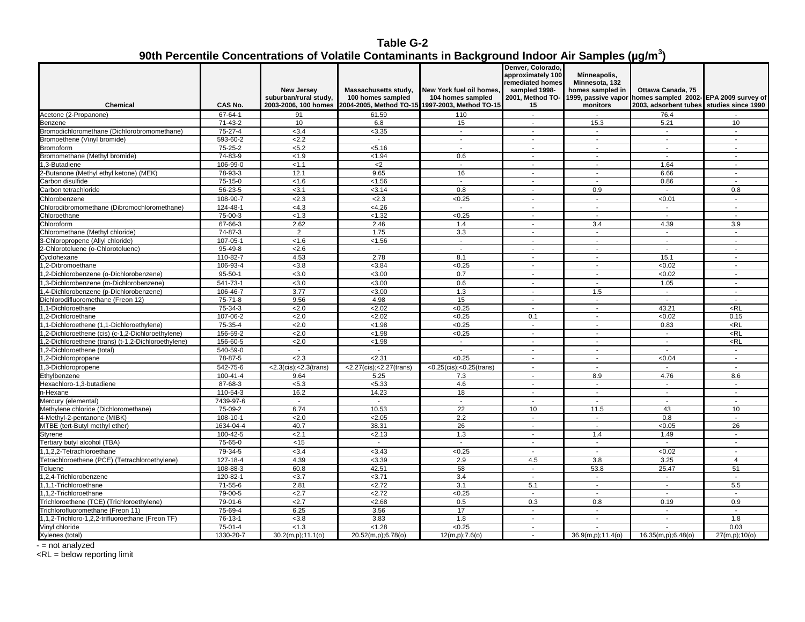# **Table G-2 90th Percentile Concentrations of Volatile Contaminants in Background Indoor Air Samples (µg/m<sup>3</sup> )**

| approximately 100<br>Minneapolis,<br>remediated homes<br>Minnesota, 132<br>homes sampled in<br>Ottawa Canada, 75<br><b>New Jersev</b><br>Massachusetts study,<br>New York fuel oil homes.<br>sampled 1998-<br>suburban/rural study,<br>100 homes sampled<br>104 homes sampled<br>2001, Method TO-<br>1999, passive vapor homes sampled 2002-EPA 2009 survey of<br>CAS No.<br>2003-2006, 100 homes<br>2004-2005, Method TO-15 1997-2003, Method TO-15<br>2003, adsorbent tubes studies since 1990<br><b>Chemical</b><br>15<br>monitors<br>67-64-1<br>76.4<br>Acetone (2-Propanone)<br>91<br>61.59<br>110<br>$\sim$<br>71-43-2<br>10<br>6.8<br>15<br>15.3<br>5.21<br>10<br>$\sim$<br>Bromodichloromethane (Dichlorobromomethane)<br>75-27-4<br>< 3.4<br>< 3.35<br>$\sim$<br>$\sim$<br>$\sim$<br>$\sim$<br>$\overline{\phantom{a}}$<br>593-60-2<br>2.2<br>$\overline{\phantom{a}}$<br>L.<br>$\sim$<br>$\overline{a}$<br>75-25-2<br>< 5.2<br>< 5.16<br>$\sim$<br>$\sim$<br>$\sim$<br>$\sim$<br>$\sim$<br>74-83-9<br><b>Bromomethane</b> (Methyl bromide)<br>< 1.9<br>< 1.94<br>0.6<br>$\sim$<br>$\sim$<br>106-99-0<br>,3-Butadiene<br>< 1.1<br>$<$ 2<br>1.64<br>$\blacksquare$<br>$\sim$<br>$\sim$<br>$\overline{a}$<br>-Butanone (Methyl ethyl ketone) (MEK)<br>78-93-3<br>12.1<br>9.65<br>16<br>6.66<br>$\sim$<br>$\sim$<br>$\sim$<br>75-15-0<br>< 1.56<br>arbon disulfide<br>< 1.6<br>0.86<br>$\sim$<br>$\sim$<br>$\overline{\phantom{a}}$<br>56-23-5<br>0.8<br>0.9<br>< 3.1<br>< 3.14<br>0.8<br>$\sim$<br>$\overline{\phantom{a}}$<br>108-90-7<br>2.3<br>2.3<br>< 0.25<br>< 0.01<br>Chlorobenzene<br>$\sim$<br>$\sim$<br>$\overline{\phantom{a}}$<br>hlorodibromomethane (Dibromochloromethane)<br>124-48-1<br><4.3<br><4.26<br>$\blacksquare$<br>$\blacksquare$<br>$\blacksquare$<br>< 0.25<br>75-00-3<br>< 1.3<br>< 1.32<br>Chloroethane<br>$\blacksquare$<br>$\sim$<br>$\blacksquare$<br>$\overline{\phantom{a}}$<br>4.39<br>67-66-3<br>2.62<br>2.46<br>1.4<br>3.4<br>3.9<br>hloroform<br>Chloromethane (Methyl chloride)<br>74-87-3<br>3.3<br>$\overline{2}$<br>1.75<br>$\sim$<br>$\sim$<br>$\sim$<br>$\sim$<br>-Chloropropene (Allyl chloride)<br>107-05-1<br>< 1.56<br>< 1.6<br>$\sim$<br>$\sim$<br>$\sim$<br>$\overline{\phantom{a}}$<br>$\overline{\phantom{a}}$<br>95-49-8<br>-Chlorotoluene (o-Chlorotoluene)<br>2.6<br>$\sim$<br>$\overline{a}$<br>$\overline{a}$<br>$\sim$<br>$\sim$<br>2.78<br>110-82-7<br>4.53<br>8.1<br>15.1<br>Cyclohexane<br>$\blacksquare$<br>$\sim$<br>$\sim$<br>106-93-4<br>< 3.8<br>< 3.84<br>< 0.25<br>< 0.02<br>,2-Dibromoethane<br>$\blacksquare$<br>$95 - 50 - 1$<br>0.7<br>1,2-Dichlorobenzene (o-Dichlorobenzene)<br>< 3.0<br>< 3.00<br>< 0.02<br>$\overline{\phantom{a}}$<br>$\ddot{\phantom{a}}$<br>$\ddot{\phantom{a}}$<br>.3-Dichlorobenzene (m-Dichlorobenzene)<br>541-73-1<br>< 3.0<br>< 3.00<br>0.6<br>1.05<br>$\sim$<br>$\sim$<br>$\overline{\phantom{a}}$<br>106-46-7<br>3.77<br>< 3.00<br>(4-Dichlorobenzene (p-Dichlorobenzene)<br>1.3<br>1.5<br>$\sim$<br>$\overline{\phantom{a}}$<br>75-71-8<br>4.98<br>15<br>Dichlorodifluoromethane (Freon 12)<br>9.56<br>$\blacksquare$<br>$\sim$<br>$\overline{\phantom{a}}$<br>$\sim$<br>,1-Dichloroethane<br>75-34-3<br>2.0<br>2.02<br>< 0.25<br>43.21<br><rl<br><math>\overline{a}</math><br/>107-06-2<br/>2.0<br/>2.02<br/>&lt; 0.25<br/>0.1<br/>&lt; 0.02<br/>0.15<br/>.2-Dichloroethane<br/><math display="inline">\mathbf{r}</math><br/>,1-Dichloroethene (1,1-Dichloroethylene)<br/>75-35-4<br/>2.0<br/>&lt; 0.25<br/>0.83<br/><math>&lt;</math>RL<br/>&lt; 1.98<br/><math display="inline">\overline{\phantom{a}}</math><br/><math display="inline">\overline{\phantom{a}}</math><br/>156-59-2<br/><math>&lt;</math>RL<br/>,2-Dichloroethene (cis) (c-1,2-Dichloroethylene)<br/>2.0<br/>&lt; 1.98<br/>&lt; 0.25<br/><math display="inline">\sim</math><br/><math display="inline">\overline{\phantom{a}}</math><br/><math display="inline">\sim</math><br/>156-60-5<br/><math>&lt;</math>RL<br/>,2-Dichloroethene (trans) (t-1,2-Dichloroethylene)<br/>2.0<br/>&lt; 1.98<br/><math display="inline">\sim</math><br/><math>\sim</math><br/><math display="inline">\sim</math><br/><math display="inline">\sim</math><br/>,2-Dichloroethene (total)<br/>540-59-0<br/><math display="inline">\sim</math><br/><math display="inline">\sim</math><br/><math display="inline">\overline{\phantom{a}}</math><br/><math display="inline">\blacksquare</math><br/><math display="inline">\sim</math><br/><math display="inline">\sim</math><br/><math display="inline">\sim</math><br/>78-87-5<br/>2.3<br/>2.31<br/>&lt; 0.25<br/>&lt;0.04<br/>1,2-Dichloropropane<br/><math>\overline{a}</math><br/>542-75-6<br/>&lt;2.27(cis);&lt;2.27(trans)<br/>,3-Dichloropropene<br/><math>&lt;</math>2.3(cis);<math>&lt;</math>2.3(trans)<br/><math>&lt;</math>0.25(cis);<math>&lt;</math>0.25(trans)<br/><math display="inline">\sim</math><br/><math display="inline">\sim</math><br/><math display="inline">\sim</math><br/><math display="inline">\sim</math><br/><math>100 - 41 - 4</math><br/>8.9<br/>4.76<br/>8.6<br/>thylbenzene<br/>9.64<br/>5.25<br/>7.3<br/><math display="inline">\overline{\phantom{a}}</math><br/>87-68-3<br/>Hexachloro-1,3-butadiene<br/>&lt; 5.3<br/>&lt; 5.33<br/>4.6<br/><math display="inline">\sim</math><br/><math display="inline">\sim</math><br/><math display="inline">\sim</math><br/><math>\sim</math><br/>16.2<br/>14.23<br/>18<br/>-Hexane<br/>110-54-3<br/><math display="inline">\blacksquare</math><br/><math display="inline">\overline{\phantom{a}}</math><br/><math display="inline">\sim</math><br/><math display="inline">\sim</math><br/>7439-97-6<br/>Aercury (elemental)<br/><math display="inline">\sim</math><br/>22<br/>75-09-2<br/>6.74<br/>10.53<br/>10<br/>11.5<br/>43<br/>10<br/>Methylene chloride (Dichloromethane)<br/>4-Methyl-2-pentanone (MIBK)<br/>108-10-1<br/>2.0<br/>2.05<br/>2.2<br/>0.8<br/><math display="inline">\sim</math><br/><math display="inline">\sim</math><br/><math display="inline">\sim</math><br/>40.7<br/>26<br/>MTBE (tert-Butyl methyl ether)<br/>1634-04-4<br/>38.31<br/>26<br/>&lt;0.05<br/><math>\ddot{\phantom{a}}</math><br/><math>\sim</math><br/>100-42-5<br/>2.1<br/>2.13<br/>1.3<br/>1.4<br/>1.49<br/><b>Styrene</b><br/><math display="inline">\sim</math><br/><math display="inline">\overline{\phantom{a}}</math><br/>Fertiary butyl alcohol (TBA)<br/>75-65-0<br/>&lt; 15<br/><math display="inline">\mathcal{L}</math><br/><math display="inline">\sim</math><br/><math display="inline">\blacksquare</math><br/><math display="inline">\blacksquare</math><br/><math display="inline">\blacksquare</math><br/>.1.2.2-Tetrachloroethane<br/>79-34-5<br/>&lt; 3.4<br/>&lt; 3.43<br/>&lt; 0.25<br/>&lt; 0.02<br/><math display="inline">\sim</math><br/><math>\overline{a}</math><br/>etrachloroethene (PCE) (Tetrachloroethylene)<br/>127-18-4<br/>4.39<br/>2.9<br/>4.5<br/>3.8<br/>3.25<br/>&lt; 3.39<br/>4<br/>108-88-3<br/>42.51<br/>58<br/>53.8<br/>25.47<br/>51<br/>60.8<br/>oluene<br/>3.4<br/>1,2,4-Trichlorobenzene<br/>120-82-1<br/>&lt; 3.7<br/><math>3.71</math><br/><math>\sim</math><br/><math display="inline">\sim</math><br/><math display="inline">\sim</math><br/><math>\sim</math><br/>.1.1-Trichloroethane<br/><math>71 - 55 - 6</math><br/>2.81<br/>2.72<br/>3.1<br/>5.1<br/>5.5<br/><math display="inline">\sim</math><br/><math display="inline">\sim</math><br/>79-00-5<br/>2.7<br/>2.72<br/>&lt; 0.25<br/><math display="inline">\sim</math><br/><math>\overline{\phantom{a}}</math><br/><math display="inline">\sim</math><br/><math>\ddot{\phantom{a}}</math><br/>Trichloroethene (TCE) (Trichloroethylene)<br/>79-01-6<br/>2.7<br/>2.68<br/>0.5<br/>0.3<br/>0.8<br/>0.19<br/>0.9<br/>75-69-4<br/>6.25<br/>3.56<br/>17<br/>richlorofluoromethane (Freon 11)<br/><math display="inline">\sim</math><br/><math display="inline">\sim</math><br/><math display="inline">\blacksquare</math><br/>76-13-1<br/>3.83<br/>1.8<br/>1.8<br/>,1,2-Trichloro-1,2,2-trifluoroethane (Freon TF)<br/>&lt; 3.8<br/><math display="inline">\overline{\phantom{a}}</math><br/><math display="inline">\sim</math><br/><math display="inline">\sim</math><br/>&lt; 0.25<br/>0.03<br/>75-01-4<br/>&lt; 1.3<br/>&lt; 1.28<br/><math display="inline">\overline{\phantom{a}}</math><br/><math>\sim</math><br/><math>\sim</math><br/>1330-20-7<br/>30.2(m,p);11.1(o)<br/>20.52(m,p);6.78(o)<br/>12(m,p);7.6(o)<br/>36.9(m,p); 11.4(o)<br/>16.35(m,p);6.48(o)<br/>27(m,p);10(o)</rl<br> |                             |  |  |                   |  |  |
|-----------------------------------------------------------------------------------------------------------------------------------------------------------------------------------------------------------------------------------------------------------------------------------------------------------------------------------------------------------------------------------------------------------------------------------------------------------------------------------------------------------------------------------------------------------------------------------------------------------------------------------------------------------------------------------------------------------------------------------------------------------------------------------------------------------------------------------------------------------------------------------------------------------------------------------------------------------------------------------------------------------------------------------------------------------------------------------------------------------------------------------------------------------------------------------------------------------------------------------------------------------------------------------------------------------------------------------------------------------------------------------------------------------------------------------------------------------------------------------------------------------------------------------------------------------------------------------------------------------------------------------------------------------------------------------------------------------------------------------------------------------------------------------------------------------------------------------------------------------------------------------------------------------------------------------------------------------------------------------------------------------------------------------------------------------------------------------------------------------------------------------------------------------------------------------------------------------------------------------------------------------------------------------------------------------------------------------------------------------------------------------------------------------------------------------------------------------------------------------------------------------------------------------------------------------------------------------------------------------------------------------------------------------------------------------------------------------------------------------------------------------------------------------------------------------------------------------------------------------------------------------------------------------------------------------------------------------------------------------------------------------------------------------------------------------------------------------------------------------------------------------------------------------------------------------------------------------------------------------------------------------------------------------------------------------------------------------------------------------------------------------------------------------------------------------------------------------------------------------------------------------------------------------------------------------------------------------------------------------------------------------------------------------------------------------------------------------------------------------------------------------------------------------------------------------------------------------------------------------------------------------------------------------------------------------------------------------------------------------------------------------------------------------------------------------------------------------------------------------------------------------------------------------------------------------------------------------------------------------------------------------------------------------------------------------------------------------------------------------------------------------------------------------------------------------------------------------------------------------------------------------------------------------------------------------------------------------------------------------------------------------------------------------------------------------------------------------------------------------------------------------------------------------------------------------------------------------------------------------------------------------------------------------------------------------------------------------------------------------------------------------------------------------------------------------------------------------------------------------------------------------------------------------------------------------------------------------------------------------------------------------------------------------------------------------------------------------------------------------------------------------------------------------------------------------------------------------------------------------------------------------------------------------------------------------------------------------------------------------------------------------------------------------------------------------------------------------------------------------------------------------------------------------------------------------------------------------------------------------------------------------------------------------------------------------------------------------------------------------------------------------------------------------------------------------------------------------------------------------------------------------------------------------------------------------------------------------------------------------------------------------------------------------------------------------------------------------------------------------------------------------------------------------------------------------------------------------------------------------------------------------------------------------------------------------------------------------------------------------------------------------------------------------------------------------------------------------------------------------------------------------------------------------------------------------------------------------------------------------------------------------------------------------------------------------------------------------------------------------------------------------------------------------------------------------------------------------------------------------------------------------------------------------------------------------------------------------------------------------------------------------------------------------------------------------------------------------------------------------------------------------------------------------------------------------------------------------------------------------------------------------------------------------------------------------------------------------------------------------------------------------------------------------------------------------------------------------------------------------------------------------------------------------------------------------------------------------------------------------------------------------------------------------------------------------------------------------------------------------------------------------------------------------------------------------------------------------------------------------------------------------------------------------------------------------------------------------------------------------------------------------------------------------------------------------------------------------------------------------------------------------------------------------------------------------------------------------------------------------------------------------------------------------------------------------------------------------------|-----------------------------|--|--|-------------------|--|--|
|                                                                                                                                                                                                                                                                                                                                                                                                                                                                                                                                                                                                                                                                                                                                                                                                                                                                                                                                                                                                                                                                                                                                                                                                                                                                                                                                                                                                                                                                                                                                                                                                                                                                                                                                                                                                                                                                                                                                                                                                                                                                                                                                                                                                                                                                                                                                                                                                                                                                                                                                                                                                                                                                                                                                                                                                                                                                                                                                                                                                                                                                                                                                                                                                                                                                                                                                                                                                                                                                                                                                                                                                                                                                                                                                                                                                                                                                                                                                                                                                                                                                                                                                                                                                                                                                                                                                                                                                                                                                                                                                                                                                                                                                                                                                                                                                                                                                                                                                                                                                                                                                                                                                                                                                                                                                                                                                                                                                                                                                                                                                                                                                                                                                                                                                                                                                                                                                                                                                                                                                                                                                                                                                                                                                                                                                                                                                                                                                                                                                                                                                                                                                                                                                                                                                                                                                                                                                                                                                                                                                                                                                                                                                                                                                                                                                                                                                                                                                                                                                                                                                                                                                                                                                                                                                                                                                                                                                                                                                                                                                                                                                                                                                                                                                                                                                                                                                                                                                                                                                                                                                                                                         |                             |  |  | Denver, Colorado, |  |  |
|                                                                                                                                                                                                                                                                                                                                                                                                                                                                                                                                                                                                                                                                                                                                                                                                                                                                                                                                                                                                                                                                                                                                                                                                                                                                                                                                                                                                                                                                                                                                                                                                                                                                                                                                                                                                                                                                                                                                                                                                                                                                                                                                                                                                                                                                                                                                                                                                                                                                                                                                                                                                                                                                                                                                                                                                                                                                                                                                                                                                                                                                                                                                                                                                                                                                                                                                                                                                                                                                                                                                                                                                                                                                                                                                                                                                                                                                                                                                                                                                                                                                                                                                                                                                                                                                                                                                                                                                                                                                                                                                                                                                                                                                                                                                                                                                                                                                                                                                                                                                                                                                                                                                                                                                                                                                                                                                                                                                                                                                                                                                                                                                                                                                                                                                                                                                                                                                                                                                                                                                                                                                                                                                                                                                                                                                                                                                                                                                                                                                                                                                                                                                                                                                                                                                                                                                                                                                                                                                                                                                                                                                                                                                                                                                                                                                                                                                                                                                                                                                                                                                                                                                                                                                                                                                                                                                                                                                                                                                                                                                                                                                                                                                                                                                                                                                                                                                                                                                                                                                                                                                                                                         |                             |  |  |                   |  |  |
|                                                                                                                                                                                                                                                                                                                                                                                                                                                                                                                                                                                                                                                                                                                                                                                                                                                                                                                                                                                                                                                                                                                                                                                                                                                                                                                                                                                                                                                                                                                                                                                                                                                                                                                                                                                                                                                                                                                                                                                                                                                                                                                                                                                                                                                                                                                                                                                                                                                                                                                                                                                                                                                                                                                                                                                                                                                                                                                                                                                                                                                                                                                                                                                                                                                                                                                                                                                                                                                                                                                                                                                                                                                                                                                                                                                                                                                                                                                                                                                                                                                                                                                                                                                                                                                                                                                                                                                                                                                                                                                                                                                                                                                                                                                                                                                                                                                                                                                                                                                                                                                                                                                                                                                                                                                                                                                                                                                                                                                                                                                                                                                                                                                                                                                                                                                                                                                                                                                                                                                                                                                                                                                                                                                                                                                                                                                                                                                                                                                                                                                                                                                                                                                                                                                                                                                                                                                                                                                                                                                                                                                                                                                                                                                                                                                                                                                                                                                                                                                                                                                                                                                                                                                                                                                                                                                                                                                                                                                                                                                                                                                                                                                                                                                                                                                                                                                                                                                                                                                                                                                                                                                         |                             |  |  |                   |  |  |
|                                                                                                                                                                                                                                                                                                                                                                                                                                                                                                                                                                                                                                                                                                                                                                                                                                                                                                                                                                                                                                                                                                                                                                                                                                                                                                                                                                                                                                                                                                                                                                                                                                                                                                                                                                                                                                                                                                                                                                                                                                                                                                                                                                                                                                                                                                                                                                                                                                                                                                                                                                                                                                                                                                                                                                                                                                                                                                                                                                                                                                                                                                                                                                                                                                                                                                                                                                                                                                                                                                                                                                                                                                                                                                                                                                                                                                                                                                                                                                                                                                                                                                                                                                                                                                                                                                                                                                                                                                                                                                                                                                                                                                                                                                                                                                                                                                                                                                                                                                                                                                                                                                                                                                                                                                                                                                                                                                                                                                                                                                                                                                                                                                                                                                                                                                                                                                                                                                                                                                                                                                                                                                                                                                                                                                                                                                                                                                                                                                                                                                                                                                                                                                                                                                                                                                                                                                                                                                                                                                                                                                                                                                                                                                                                                                                                                                                                                                                                                                                                                                                                                                                                                                                                                                                                                                                                                                                                                                                                                                                                                                                                                                                                                                                                                                                                                                                                                                                                                                                                                                                                                                                         | Benzene                     |  |  |                   |  |  |
|                                                                                                                                                                                                                                                                                                                                                                                                                                                                                                                                                                                                                                                                                                                                                                                                                                                                                                                                                                                                                                                                                                                                                                                                                                                                                                                                                                                                                                                                                                                                                                                                                                                                                                                                                                                                                                                                                                                                                                                                                                                                                                                                                                                                                                                                                                                                                                                                                                                                                                                                                                                                                                                                                                                                                                                                                                                                                                                                                                                                                                                                                                                                                                                                                                                                                                                                                                                                                                                                                                                                                                                                                                                                                                                                                                                                                                                                                                                                                                                                                                                                                                                                                                                                                                                                                                                                                                                                                                                                                                                                                                                                                                                                                                                                                                                                                                                                                                                                                                                                                                                                                                                                                                                                                                                                                                                                                                                                                                                                                                                                                                                                                                                                                                                                                                                                                                                                                                                                                                                                                                                                                                                                                                                                                                                                                                                                                                                                                                                                                                                                                                                                                                                                                                                                                                                                                                                                                                                                                                                                                                                                                                                                                                                                                                                                                                                                                                                                                                                                                                                                                                                                                                                                                                                                                                                                                                                                                                                                                                                                                                                                                                                                                                                                                                                                                                                                                                                                                                                                                                                                                                                         |                             |  |  |                   |  |  |
|                                                                                                                                                                                                                                                                                                                                                                                                                                                                                                                                                                                                                                                                                                                                                                                                                                                                                                                                                                                                                                                                                                                                                                                                                                                                                                                                                                                                                                                                                                                                                                                                                                                                                                                                                                                                                                                                                                                                                                                                                                                                                                                                                                                                                                                                                                                                                                                                                                                                                                                                                                                                                                                                                                                                                                                                                                                                                                                                                                                                                                                                                                                                                                                                                                                                                                                                                                                                                                                                                                                                                                                                                                                                                                                                                                                                                                                                                                                                                                                                                                                                                                                                                                                                                                                                                                                                                                                                                                                                                                                                                                                                                                                                                                                                                                                                                                                                                                                                                                                                                                                                                                                                                                                                                                                                                                                                                                                                                                                                                                                                                                                                                                                                                                                                                                                                                                                                                                                                                                                                                                                                                                                                                                                                                                                                                                                                                                                                                                                                                                                                                                                                                                                                                                                                                                                                                                                                                                                                                                                                                                                                                                                                                                                                                                                                                                                                                                                                                                                                                                                                                                                                                                                                                                                                                                                                                                                                                                                                                                                                                                                                                                                                                                                                                                                                                                                                                                                                                                                                                                                                                                                         | Bromoethene (Vinyl bromide) |  |  |                   |  |  |
|                                                                                                                                                                                                                                                                                                                                                                                                                                                                                                                                                                                                                                                                                                                                                                                                                                                                                                                                                                                                                                                                                                                                                                                                                                                                                                                                                                                                                                                                                                                                                                                                                                                                                                                                                                                                                                                                                                                                                                                                                                                                                                                                                                                                                                                                                                                                                                                                                                                                                                                                                                                                                                                                                                                                                                                                                                                                                                                                                                                                                                                                                                                                                                                                                                                                                                                                                                                                                                                                                                                                                                                                                                                                                                                                                                                                                                                                                                                                                                                                                                                                                                                                                                                                                                                                                                                                                                                                                                                                                                                                                                                                                                                                                                                                                                                                                                                                                                                                                                                                                                                                                                                                                                                                                                                                                                                                                                                                                                                                                                                                                                                                                                                                                                                                                                                                                                                                                                                                                                                                                                                                                                                                                                                                                                                                                                                                                                                                                                                                                                                                                                                                                                                                                                                                                                                                                                                                                                                                                                                                                                                                                                                                                                                                                                                                                                                                                                                                                                                                                                                                                                                                                                                                                                                                                                                                                                                                                                                                                                                                                                                                                                                                                                                                                                                                                                                                                                                                                                                                                                                                                                                         | <b>Bromoform</b>            |  |  |                   |  |  |
|                                                                                                                                                                                                                                                                                                                                                                                                                                                                                                                                                                                                                                                                                                                                                                                                                                                                                                                                                                                                                                                                                                                                                                                                                                                                                                                                                                                                                                                                                                                                                                                                                                                                                                                                                                                                                                                                                                                                                                                                                                                                                                                                                                                                                                                                                                                                                                                                                                                                                                                                                                                                                                                                                                                                                                                                                                                                                                                                                                                                                                                                                                                                                                                                                                                                                                                                                                                                                                                                                                                                                                                                                                                                                                                                                                                                                                                                                                                                                                                                                                                                                                                                                                                                                                                                                                                                                                                                                                                                                                                                                                                                                                                                                                                                                                                                                                                                                                                                                                                                                                                                                                                                                                                                                                                                                                                                                                                                                                                                                                                                                                                                                                                                                                                                                                                                                                                                                                                                                                                                                                                                                                                                                                                                                                                                                                                                                                                                                                                                                                                                                                                                                                                                                                                                                                                                                                                                                                                                                                                                                                                                                                                                                                                                                                                                                                                                                                                                                                                                                                                                                                                                                                                                                                                                                                                                                                                                                                                                                                                                                                                                                                                                                                                                                                                                                                                                                                                                                                                                                                                                                                                         |                             |  |  |                   |  |  |
|                                                                                                                                                                                                                                                                                                                                                                                                                                                                                                                                                                                                                                                                                                                                                                                                                                                                                                                                                                                                                                                                                                                                                                                                                                                                                                                                                                                                                                                                                                                                                                                                                                                                                                                                                                                                                                                                                                                                                                                                                                                                                                                                                                                                                                                                                                                                                                                                                                                                                                                                                                                                                                                                                                                                                                                                                                                                                                                                                                                                                                                                                                                                                                                                                                                                                                                                                                                                                                                                                                                                                                                                                                                                                                                                                                                                                                                                                                                                                                                                                                                                                                                                                                                                                                                                                                                                                                                                                                                                                                                                                                                                                                                                                                                                                                                                                                                                                                                                                                                                                                                                                                                                                                                                                                                                                                                                                                                                                                                                                                                                                                                                                                                                                                                                                                                                                                                                                                                                                                                                                                                                                                                                                                                                                                                                                                                                                                                                                                                                                                                                                                                                                                                                                                                                                                                                                                                                                                                                                                                                                                                                                                                                                                                                                                                                                                                                                                                                                                                                                                                                                                                                                                                                                                                                                                                                                                                                                                                                                                                                                                                                                                                                                                                                                                                                                                                                                                                                                                                                                                                                                                                         |                             |  |  |                   |  |  |
|                                                                                                                                                                                                                                                                                                                                                                                                                                                                                                                                                                                                                                                                                                                                                                                                                                                                                                                                                                                                                                                                                                                                                                                                                                                                                                                                                                                                                                                                                                                                                                                                                                                                                                                                                                                                                                                                                                                                                                                                                                                                                                                                                                                                                                                                                                                                                                                                                                                                                                                                                                                                                                                                                                                                                                                                                                                                                                                                                                                                                                                                                                                                                                                                                                                                                                                                                                                                                                                                                                                                                                                                                                                                                                                                                                                                                                                                                                                                                                                                                                                                                                                                                                                                                                                                                                                                                                                                                                                                                                                                                                                                                                                                                                                                                                                                                                                                                                                                                                                                                                                                                                                                                                                                                                                                                                                                                                                                                                                                                                                                                                                                                                                                                                                                                                                                                                                                                                                                                                                                                                                                                                                                                                                                                                                                                                                                                                                                                                                                                                                                                                                                                                                                                                                                                                                                                                                                                                                                                                                                                                                                                                                                                                                                                                                                                                                                                                                                                                                                                                                                                                                                                                                                                                                                                                                                                                                                                                                                                                                                                                                                                                                                                                                                                                                                                                                                                                                                                                                                                                                                                                                         |                             |  |  |                   |  |  |
|                                                                                                                                                                                                                                                                                                                                                                                                                                                                                                                                                                                                                                                                                                                                                                                                                                                                                                                                                                                                                                                                                                                                                                                                                                                                                                                                                                                                                                                                                                                                                                                                                                                                                                                                                                                                                                                                                                                                                                                                                                                                                                                                                                                                                                                                                                                                                                                                                                                                                                                                                                                                                                                                                                                                                                                                                                                                                                                                                                                                                                                                                                                                                                                                                                                                                                                                                                                                                                                                                                                                                                                                                                                                                                                                                                                                                                                                                                                                                                                                                                                                                                                                                                                                                                                                                                                                                                                                                                                                                                                                                                                                                                                                                                                                                                                                                                                                                                                                                                                                                                                                                                                                                                                                                                                                                                                                                                                                                                                                                                                                                                                                                                                                                                                                                                                                                                                                                                                                                                                                                                                                                                                                                                                                                                                                                                                                                                                                                                                                                                                                                                                                                                                                                                                                                                                                                                                                                                                                                                                                                                                                                                                                                                                                                                                                                                                                                                                                                                                                                                                                                                                                                                                                                                                                                                                                                                                                                                                                                                                                                                                                                                                                                                                                                                                                                                                                                                                                                                                                                                                                                                                         |                             |  |  |                   |  |  |
|                                                                                                                                                                                                                                                                                                                                                                                                                                                                                                                                                                                                                                                                                                                                                                                                                                                                                                                                                                                                                                                                                                                                                                                                                                                                                                                                                                                                                                                                                                                                                                                                                                                                                                                                                                                                                                                                                                                                                                                                                                                                                                                                                                                                                                                                                                                                                                                                                                                                                                                                                                                                                                                                                                                                                                                                                                                                                                                                                                                                                                                                                                                                                                                                                                                                                                                                                                                                                                                                                                                                                                                                                                                                                                                                                                                                                                                                                                                                                                                                                                                                                                                                                                                                                                                                                                                                                                                                                                                                                                                                                                                                                                                                                                                                                                                                                                                                                                                                                                                                                                                                                                                                                                                                                                                                                                                                                                                                                                                                                                                                                                                                                                                                                                                                                                                                                                                                                                                                                                                                                                                                                                                                                                                                                                                                                                                                                                                                                                                                                                                                                                                                                                                                                                                                                                                                                                                                                                                                                                                                                                                                                                                                                                                                                                                                                                                                                                                                                                                                                                                                                                                                                                                                                                                                                                                                                                                                                                                                                                                                                                                                                                                                                                                                                                                                                                                                                                                                                                                                                                                                                                                         | Carbon tetrachloride        |  |  |                   |  |  |
|                                                                                                                                                                                                                                                                                                                                                                                                                                                                                                                                                                                                                                                                                                                                                                                                                                                                                                                                                                                                                                                                                                                                                                                                                                                                                                                                                                                                                                                                                                                                                                                                                                                                                                                                                                                                                                                                                                                                                                                                                                                                                                                                                                                                                                                                                                                                                                                                                                                                                                                                                                                                                                                                                                                                                                                                                                                                                                                                                                                                                                                                                                                                                                                                                                                                                                                                                                                                                                                                                                                                                                                                                                                                                                                                                                                                                                                                                                                                                                                                                                                                                                                                                                                                                                                                                                                                                                                                                                                                                                                                                                                                                                                                                                                                                                                                                                                                                                                                                                                                                                                                                                                                                                                                                                                                                                                                                                                                                                                                                                                                                                                                                                                                                                                                                                                                                                                                                                                                                                                                                                                                                                                                                                                                                                                                                                                                                                                                                                                                                                                                                                                                                                                                                                                                                                                                                                                                                                                                                                                                                                                                                                                                                                                                                                                                                                                                                                                                                                                                                                                                                                                                                                                                                                                                                                                                                                                                                                                                                                                                                                                                                                                                                                                                                                                                                                                                                                                                                                                                                                                                                                                         |                             |  |  |                   |  |  |
|                                                                                                                                                                                                                                                                                                                                                                                                                                                                                                                                                                                                                                                                                                                                                                                                                                                                                                                                                                                                                                                                                                                                                                                                                                                                                                                                                                                                                                                                                                                                                                                                                                                                                                                                                                                                                                                                                                                                                                                                                                                                                                                                                                                                                                                                                                                                                                                                                                                                                                                                                                                                                                                                                                                                                                                                                                                                                                                                                                                                                                                                                                                                                                                                                                                                                                                                                                                                                                                                                                                                                                                                                                                                                                                                                                                                                                                                                                                                                                                                                                                                                                                                                                                                                                                                                                                                                                                                                                                                                                                                                                                                                                                                                                                                                                                                                                                                                                                                                                                                                                                                                                                                                                                                                                                                                                                                                                                                                                                                                                                                                                                                                                                                                                                                                                                                                                                                                                                                                                                                                                                                                                                                                                                                                                                                                                                                                                                                                                                                                                                                                                                                                                                                                                                                                                                                                                                                                                                                                                                                                                                                                                                                                                                                                                                                                                                                                                                                                                                                                                                                                                                                                                                                                                                                                                                                                                                                                                                                                                                                                                                                                                                                                                                                                                                                                                                                                                                                                                                                                                                                                                                         |                             |  |  |                   |  |  |
|                                                                                                                                                                                                                                                                                                                                                                                                                                                                                                                                                                                                                                                                                                                                                                                                                                                                                                                                                                                                                                                                                                                                                                                                                                                                                                                                                                                                                                                                                                                                                                                                                                                                                                                                                                                                                                                                                                                                                                                                                                                                                                                                                                                                                                                                                                                                                                                                                                                                                                                                                                                                                                                                                                                                                                                                                                                                                                                                                                                                                                                                                                                                                                                                                                                                                                                                                                                                                                                                                                                                                                                                                                                                                                                                                                                                                                                                                                                                                                                                                                                                                                                                                                                                                                                                                                                                                                                                                                                                                                                                                                                                                                                                                                                                                                                                                                                                                                                                                                                                                                                                                                                                                                                                                                                                                                                                                                                                                                                                                                                                                                                                                                                                                                                                                                                                                                                                                                                                                                                                                                                                                                                                                                                                                                                                                                                                                                                                                                                                                                                                                                                                                                                                                                                                                                                                                                                                                                                                                                                                                                                                                                                                                                                                                                                                                                                                                                                                                                                                                                                                                                                                                                                                                                                                                                                                                                                                                                                                                                                                                                                                                                                                                                                                                                                                                                                                                                                                                                                                                                                                                                                         |                             |  |  |                   |  |  |
|                                                                                                                                                                                                                                                                                                                                                                                                                                                                                                                                                                                                                                                                                                                                                                                                                                                                                                                                                                                                                                                                                                                                                                                                                                                                                                                                                                                                                                                                                                                                                                                                                                                                                                                                                                                                                                                                                                                                                                                                                                                                                                                                                                                                                                                                                                                                                                                                                                                                                                                                                                                                                                                                                                                                                                                                                                                                                                                                                                                                                                                                                                                                                                                                                                                                                                                                                                                                                                                                                                                                                                                                                                                                                                                                                                                                                                                                                                                                                                                                                                                                                                                                                                                                                                                                                                                                                                                                                                                                                                                                                                                                                                                                                                                                                                                                                                                                                                                                                                                                                                                                                                                                                                                                                                                                                                                                                                                                                                                                                                                                                                                                                                                                                                                                                                                                                                                                                                                                                                                                                                                                                                                                                                                                                                                                                                                                                                                                                                                                                                                                                                                                                                                                                                                                                                                                                                                                                                                                                                                                                                                                                                                                                                                                                                                                                                                                                                                                                                                                                                                                                                                                                                                                                                                                                                                                                                                                                                                                                                                                                                                                                                                                                                                                                                                                                                                                                                                                                                                                                                                                                                                         |                             |  |  |                   |  |  |
|                                                                                                                                                                                                                                                                                                                                                                                                                                                                                                                                                                                                                                                                                                                                                                                                                                                                                                                                                                                                                                                                                                                                                                                                                                                                                                                                                                                                                                                                                                                                                                                                                                                                                                                                                                                                                                                                                                                                                                                                                                                                                                                                                                                                                                                                                                                                                                                                                                                                                                                                                                                                                                                                                                                                                                                                                                                                                                                                                                                                                                                                                                                                                                                                                                                                                                                                                                                                                                                                                                                                                                                                                                                                                                                                                                                                                                                                                                                                                                                                                                                                                                                                                                                                                                                                                                                                                                                                                                                                                                                                                                                                                                                                                                                                                                                                                                                                                                                                                                                                                                                                                                                                                                                                                                                                                                                                                                                                                                                                                                                                                                                                                                                                                                                                                                                                                                                                                                                                                                                                                                                                                                                                                                                                                                                                                                                                                                                                                                                                                                                                                                                                                                                                                                                                                                                                                                                                                                                                                                                                                                                                                                                                                                                                                                                                                                                                                                                                                                                                                                                                                                                                                                                                                                                                                                                                                                                                                                                                                                                                                                                                                                                                                                                                                                                                                                                                                                                                                                                                                                                                                                                         |                             |  |  |                   |  |  |
|                                                                                                                                                                                                                                                                                                                                                                                                                                                                                                                                                                                                                                                                                                                                                                                                                                                                                                                                                                                                                                                                                                                                                                                                                                                                                                                                                                                                                                                                                                                                                                                                                                                                                                                                                                                                                                                                                                                                                                                                                                                                                                                                                                                                                                                                                                                                                                                                                                                                                                                                                                                                                                                                                                                                                                                                                                                                                                                                                                                                                                                                                                                                                                                                                                                                                                                                                                                                                                                                                                                                                                                                                                                                                                                                                                                                                                                                                                                                                                                                                                                                                                                                                                                                                                                                                                                                                                                                                                                                                                                                                                                                                                                                                                                                                                                                                                                                                                                                                                                                                                                                                                                                                                                                                                                                                                                                                                                                                                                                                                                                                                                                                                                                                                                                                                                                                                                                                                                                                                                                                                                                                                                                                                                                                                                                                                                                                                                                                                                                                                                                                                                                                                                                                                                                                                                                                                                                                                                                                                                                                                                                                                                                                                                                                                                                                                                                                                                                                                                                                                                                                                                                                                                                                                                                                                                                                                                                                                                                                                                                                                                                                                                                                                                                                                                                                                                                                                                                                                                                                                                                                                                         |                             |  |  |                   |  |  |
|                                                                                                                                                                                                                                                                                                                                                                                                                                                                                                                                                                                                                                                                                                                                                                                                                                                                                                                                                                                                                                                                                                                                                                                                                                                                                                                                                                                                                                                                                                                                                                                                                                                                                                                                                                                                                                                                                                                                                                                                                                                                                                                                                                                                                                                                                                                                                                                                                                                                                                                                                                                                                                                                                                                                                                                                                                                                                                                                                                                                                                                                                                                                                                                                                                                                                                                                                                                                                                                                                                                                                                                                                                                                                                                                                                                                                                                                                                                                                                                                                                                                                                                                                                                                                                                                                                                                                                                                                                                                                                                                                                                                                                                                                                                                                                                                                                                                                                                                                                                                                                                                                                                                                                                                                                                                                                                                                                                                                                                                                                                                                                                                                                                                                                                                                                                                                                                                                                                                                                                                                                                                                                                                                                                                                                                                                                                                                                                                                                                                                                                                                                                                                                                                                                                                                                                                                                                                                                                                                                                                                                                                                                                                                                                                                                                                                                                                                                                                                                                                                                                                                                                                                                                                                                                                                                                                                                                                                                                                                                                                                                                                                                                                                                                                                                                                                                                                                                                                                                                                                                                                                                                         |                             |  |  |                   |  |  |
|                                                                                                                                                                                                                                                                                                                                                                                                                                                                                                                                                                                                                                                                                                                                                                                                                                                                                                                                                                                                                                                                                                                                                                                                                                                                                                                                                                                                                                                                                                                                                                                                                                                                                                                                                                                                                                                                                                                                                                                                                                                                                                                                                                                                                                                                                                                                                                                                                                                                                                                                                                                                                                                                                                                                                                                                                                                                                                                                                                                                                                                                                                                                                                                                                                                                                                                                                                                                                                                                                                                                                                                                                                                                                                                                                                                                                                                                                                                                                                                                                                                                                                                                                                                                                                                                                                                                                                                                                                                                                                                                                                                                                                                                                                                                                                                                                                                                                                                                                                                                                                                                                                                                                                                                                                                                                                                                                                                                                                                                                                                                                                                                                                                                                                                                                                                                                                                                                                                                                                                                                                                                                                                                                                                                                                                                                                                                                                                                                                                                                                                                                                                                                                                                                                                                                                                                                                                                                                                                                                                                                                                                                                                                                                                                                                                                                                                                                                                                                                                                                                                                                                                                                                                                                                                                                                                                                                                                                                                                                                                                                                                                                                                                                                                                                                                                                                                                                                                                                                                                                                                                                                                         |                             |  |  |                   |  |  |
|                                                                                                                                                                                                                                                                                                                                                                                                                                                                                                                                                                                                                                                                                                                                                                                                                                                                                                                                                                                                                                                                                                                                                                                                                                                                                                                                                                                                                                                                                                                                                                                                                                                                                                                                                                                                                                                                                                                                                                                                                                                                                                                                                                                                                                                                                                                                                                                                                                                                                                                                                                                                                                                                                                                                                                                                                                                                                                                                                                                                                                                                                                                                                                                                                                                                                                                                                                                                                                                                                                                                                                                                                                                                                                                                                                                                                                                                                                                                                                                                                                                                                                                                                                                                                                                                                                                                                                                                                                                                                                                                                                                                                                                                                                                                                                                                                                                                                                                                                                                                                                                                                                                                                                                                                                                                                                                                                                                                                                                                                                                                                                                                                                                                                                                                                                                                                                                                                                                                                                                                                                                                                                                                                                                                                                                                                                                                                                                                                                                                                                                                                                                                                                                                                                                                                                                                                                                                                                                                                                                                                                                                                                                                                                                                                                                                                                                                                                                                                                                                                                                                                                                                                                                                                                                                                                                                                                                                                                                                                                                                                                                                                                                                                                                                                                                                                                                                                                                                                                                                                                                                                                                         |                             |  |  |                   |  |  |
|                                                                                                                                                                                                                                                                                                                                                                                                                                                                                                                                                                                                                                                                                                                                                                                                                                                                                                                                                                                                                                                                                                                                                                                                                                                                                                                                                                                                                                                                                                                                                                                                                                                                                                                                                                                                                                                                                                                                                                                                                                                                                                                                                                                                                                                                                                                                                                                                                                                                                                                                                                                                                                                                                                                                                                                                                                                                                                                                                                                                                                                                                                                                                                                                                                                                                                                                                                                                                                                                                                                                                                                                                                                                                                                                                                                                                                                                                                                                                                                                                                                                                                                                                                                                                                                                                                                                                                                                                                                                                                                                                                                                                                                                                                                                                                                                                                                                                                                                                                                                                                                                                                                                                                                                                                                                                                                                                                                                                                                                                                                                                                                                                                                                                                                                                                                                                                                                                                                                                                                                                                                                                                                                                                                                                                                                                                                                                                                                                                                                                                                                                                                                                                                                                                                                                                                                                                                                                                                                                                                                                                                                                                                                                                                                                                                                                                                                                                                                                                                                                                                                                                                                                                                                                                                                                                                                                                                                                                                                                                                                                                                                                                                                                                                                                                                                                                                                                                                                                                                                                                                                                                                         |                             |  |  |                   |  |  |
|                                                                                                                                                                                                                                                                                                                                                                                                                                                                                                                                                                                                                                                                                                                                                                                                                                                                                                                                                                                                                                                                                                                                                                                                                                                                                                                                                                                                                                                                                                                                                                                                                                                                                                                                                                                                                                                                                                                                                                                                                                                                                                                                                                                                                                                                                                                                                                                                                                                                                                                                                                                                                                                                                                                                                                                                                                                                                                                                                                                                                                                                                                                                                                                                                                                                                                                                                                                                                                                                                                                                                                                                                                                                                                                                                                                                                                                                                                                                                                                                                                                                                                                                                                                                                                                                                                                                                                                                                                                                                                                                                                                                                                                                                                                                                                                                                                                                                                                                                                                                                                                                                                                                                                                                                                                                                                                                                                                                                                                                                                                                                                                                                                                                                                                                                                                                                                                                                                                                                                                                                                                                                                                                                                                                                                                                                                                                                                                                                                                                                                                                                                                                                                                                                                                                                                                                                                                                                                                                                                                                                                                                                                                                                                                                                                                                                                                                                                                                                                                                                                                                                                                                                                                                                                                                                                                                                                                                                                                                                                                                                                                                                                                                                                                                                                                                                                                                                                                                                                                                                                                                                                                         |                             |  |  |                   |  |  |
|                                                                                                                                                                                                                                                                                                                                                                                                                                                                                                                                                                                                                                                                                                                                                                                                                                                                                                                                                                                                                                                                                                                                                                                                                                                                                                                                                                                                                                                                                                                                                                                                                                                                                                                                                                                                                                                                                                                                                                                                                                                                                                                                                                                                                                                                                                                                                                                                                                                                                                                                                                                                                                                                                                                                                                                                                                                                                                                                                                                                                                                                                                                                                                                                                                                                                                                                                                                                                                                                                                                                                                                                                                                                                                                                                                                                                                                                                                                                                                                                                                                                                                                                                                                                                                                                                                                                                                                                                                                                                                                                                                                                                                                                                                                                                                                                                                                                                                                                                                                                                                                                                                                                                                                                                                                                                                                                                                                                                                                                                                                                                                                                                                                                                                                                                                                                                                                                                                                                                                                                                                                                                                                                                                                                                                                                                                                                                                                                                                                                                                                                                                                                                                                                                                                                                                                                                                                                                                                                                                                                                                                                                                                                                                                                                                                                                                                                                                                                                                                                                                                                                                                                                                                                                                                                                                                                                                                                                                                                                                                                                                                                                                                                                                                                                                                                                                                                                                                                                                                                                                                                                                                         |                             |  |  |                   |  |  |
|                                                                                                                                                                                                                                                                                                                                                                                                                                                                                                                                                                                                                                                                                                                                                                                                                                                                                                                                                                                                                                                                                                                                                                                                                                                                                                                                                                                                                                                                                                                                                                                                                                                                                                                                                                                                                                                                                                                                                                                                                                                                                                                                                                                                                                                                                                                                                                                                                                                                                                                                                                                                                                                                                                                                                                                                                                                                                                                                                                                                                                                                                                                                                                                                                                                                                                                                                                                                                                                                                                                                                                                                                                                                                                                                                                                                                                                                                                                                                                                                                                                                                                                                                                                                                                                                                                                                                                                                                                                                                                                                                                                                                                                                                                                                                                                                                                                                                                                                                                                                                                                                                                                                                                                                                                                                                                                                                                                                                                                                                                                                                                                                                                                                                                                                                                                                                                                                                                                                                                                                                                                                                                                                                                                                                                                                                                                                                                                                                                                                                                                                                                                                                                                                                                                                                                                                                                                                                                                                                                                                                                                                                                                                                                                                                                                                                                                                                                                                                                                                                                                                                                                                                                                                                                                                                                                                                                                                                                                                                                                                                                                                                                                                                                                                                                                                                                                                                                                                                                                                                                                                                                                         |                             |  |  |                   |  |  |
|                                                                                                                                                                                                                                                                                                                                                                                                                                                                                                                                                                                                                                                                                                                                                                                                                                                                                                                                                                                                                                                                                                                                                                                                                                                                                                                                                                                                                                                                                                                                                                                                                                                                                                                                                                                                                                                                                                                                                                                                                                                                                                                                                                                                                                                                                                                                                                                                                                                                                                                                                                                                                                                                                                                                                                                                                                                                                                                                                                                                                                                                                                                                                                                                                                                                                                                                                                                                                                                                                                                                                                                                                                                                                                                                                                                                                                                                                                                                                                                                                                                                                                                                                                                                                                                                                                                                                                                                                                                                                                                                                                                                                                                                                                                                                                                                                                                                                                                                                                                                                                                                                                                                                                                                                                                                                                                                                                                                                                                                                                                                                                                                                                                                                                                                                                                                                                                                                                                                                                                                                                                                                                                                                                                                                                                                                                                                                                                                                                                                                                                                                                                                                                                                                                                                                                                                                                                                                                                                                                                                                                                                                                                                                                                                                                                                                                                                                                                                                                                                                                                                                                                                                                                                                                                                                                                                                                                                                                                                                                                                                                                                                                                                                                                                                                                                                                                                                                                                                                                                                                                                                                                         |                             |  |  |                   |  |  |
|                                                                                                                                                                                                                                                                                                                                                                                                                                                                                                                                                                                                                                                                                                                                                                                                                                                                                                                                                                                                                                                                                                                                                                                                                                                                                                                                                                                                                                                                                                                                                                                                                                                                                                                                                                                                                                                                                                                                                                                                                                                                                                                                                                                                                                                                                                                                                                                                                                                                                                                                                                                                                                                                                                                                                                                                                                                                                                                                                                                                                                                                                                                                                                                                                                                                                                                                                                                                                                                                                                                                                                                                                                                                                                                                                                                                                                                                                                                                                                                                                                                                                                                                                                                                                                                                                                                                                                                                                                                                                                                                                                                                                                                                                                                                                                                                                                                                                                                                                                                                                                                                                                                                                                                                                                                                                                                                                                                                                                                                                                                                                                                                                                                                                                                                                                                                                                                                                                                                                                                                                                                                                                                                                                                                                                                                                                                                                                                                                                                                                                                                                                                                                                                                                                                                                                                                                                                                                                                                                                                                                                                                                                                                                                                                                                                                                                                                                                                                                                                                                                                                                                                                                                                                                                                                                                                                                                                                                                                                                                                                                                                                                                                                                                                                                                                                                                                                                                                                                                                                                                                                                                                         |                             |  |  |                   |  |  |
|                                                                                                                                                                                                                                                                                                                                                                                                                                                                                                                                                                                                                                                                                                                                                                                                                                                                                                                                                                                                                                                                                                                                                                                                                                                                                                                                                                                                                                                                                                                                                                                                                                                                                                                                                                                                                                                                                                                                                                                                                                                                                                                                                                                                                                                                                                                                                                                                                                                                                                                                                                                                                                                                                                                                                                                                                                                                                                                                                                                                                                                                                                                                                                                                                                                                                                                                                                                                                                                                                                                                                                                                                                                                                                                                                                                                                                                                                                                                                                                                                                                                                                                                                                                                                                                                                                                                                                                                                                                                                                                                                                                                                                                                                                                                                                                                                                                                                                                                                                                                                                                                                                                                                                                                                                                                                                                                                                                                                                                                                                                                                                                                                                                                                                                                                                                                                                                                                                                                                                                                                                                                                                                                                                                                                                                                                                                                                                                                                                                                                                                                                                                                                                                                                                                                                                                                                                                                                                                                                                                                                                                                                                                                                                                                                                                                                                                                                                                                                                                                                                                                                                                                                                                                                                                                                                                                                                                                                                                                                                                                                                                                                                                                                                                                                                                                                                                                                                                                                                                                                                                                                                                         |                             |  |  |                   |  |  |
|                                                                                                                                                                                                                                                                                                                                                                                                                                                                                                                                                                                                                                                                                                                                                                                                                                                                                                                                                                                                                                                                                                                                                                                                                                                                                                                                                                                                                                                                                                                                                                                                                                                                                                                                                                                                                                                                                                                                                                                                                                                                                                                                                                                                                                                                                                                                                                                                                                                                                                                                                                                                                                                                                                                                                                                                                                                                                                                                                                                                                                                                                                                                                                                                                                                                                                                                                                                                                                                                                                                                                                                                                                                                                                                                                                                                                                                                                                                                                                                                                                                                                                                                                                                                                                                                                                                                                                                                                                                                                                                                                                                                                                                                                                                                                                                                                                                                                                                                                                                                                                                                                                                                                                                                                                                                                                                                                                                                                                                                                                                                                                                                                                                                                                                                                                                                                                                                                                                                                                                                                                                                                                                                                                                                                                                                                                                                                                                                                                                                                                                                                                                                                                                                                                                                                                                                                                                                                                                                                                                                                                                                                                                                                                                                                                                                                                                                                                                                                                                                                                                                                                                                                                                                                                                                                                                                                                                                                                                                                                                                                                                                                                                                                                                                                                                                                                                                                                                                                                                                                                                                                                                         |                             |  |  |                   |  |  |
|                                                                                                                                                                                                                                                                                                                                                                                                                                                                                                                                                                                                                                                                                                                                                                                                                                                                                                                                                                                                                                                                                                                                                                                                                                                                                                                                                                                                                                                                                                                                                                                                                                                                                                                                                                                                                                                                                                                                                                                                                                                                                                                                                                                                                                                                                                                                                                                                                                                                                                                                                                                                                                                                                                                                                                                                                                                                                                                                                                                                                                                                                                                                                                                                                                                                                                                                                                                                                                                                                                                                                                                                                                                                                                                                                                                                                                                                                                                                                                                                                                                                                                                                                                                                                                                                                                                                                                                                                                                                                                                                                                                                                                                                                                                                                                                                                                                                                                                                                                                                                                                                                                                                                                                                                                                                                                                                                                                                                                                                                                                                                                                                                                                                                                                                                                                                                                                                                                                                                                                                                                                                                                                                                                                                                                                                                                                                                                                                                                                                                                                                                                                                                                                                                                                                                                                                                                                                                                                                                                                                                                                                                                                                                                                                                                                                                                                                                                                                                                                                                                                                                                                                                                                                                                                                                                                                                                                                                                                                                                                                                                                                                                                                                                                                                                                                                                                                                                                                                                                                                                                                                                                         |                             |  |  |                   |  |  |
|                                                                                                                                                                                                                                                                                                                                                                                                                                                                                                                                                                                                                                                                                                                                                                                                                                                                                                                                                                                                                                                                                                                                                                                                                                                                                                                                                                                                                                                                                                                                                                                                                                                                                                                                                                                                                                                                                                                                                                                                                                                                                                                                                                                                                                                                                                                                                                                                                                                                                                                                                                                                                                                                                                                                                                                                                                                                                                                                                                                                                                                                                                                                                                                                                                                                                                                                                                                                                                                                                                                                                                                                                                                                                                                                                                                                                                                                                                                                                                                                                                                                                                                                                                                                                                                                                                                                                                                                                                                                                                                                                                                                                                                                                                                                                                                                                                                                                                                                                                                                                                                                                                                                                                                                                                                                                                                                                                                                                                                                                                                                                                                                                                                                                                                                                                                                                                                                                                                                                                                                                                                                                                                                                                                                                                                                                                                                                                                                                                                                                                                                                                                                                                                                                                                                                                                                                                                                                                                                                                                                                                                                                                                                                                                                                                                                                                                                                                                                                                                                                                                                                                                                                                                                                                                                                                                                                                                                                                                                                                                                                                                                                                                                                                                                                                                                                                                                                                                                                                                                                                                                                                                         |                             |  |  |                   |  |  |
|                                                                                                                                                                                                                                                                                                                                                                                                                                                                                                                                                                                                                                                                                                                                                                                                                                                                                                                                                                                                                                                                                                                                                                                                                                                                                                                                                                                                                                                                                                                                                                                                                                                                                                                                                                                                                                                                                                                                                                                                                                                                                                                                                                                                                                                                                                                                                                                                                                                                                                                                                                                                                                                                                                                                                                                                                                                                                                                                                                                                                                                                                                                                                                                                                                                                                                                                                                                                                                                                                                                                                                                                                                                                                                                                                                                                                                                                                                                                                                                                                                                                                                                                                                                                                                                                                                                                                                                                                                                                                                                                                                                                                                                                                                                                                                                                                                                                                                                                                                                                                                                                                                                                                                                                                                                                                                                                                                                                                                                                                                                                                                                                                                                                                                                                                                                                                                                                                                                                                                                                                                                                                                                                                                                                                                                                                                                                                                                                                                                                                                                                                                                                                                                                                                                                                                                                                                                                                                                                                                                                                                                                                                                                                                                                                                                                                                                                                                                                                                                                                                                                                                                                                                                                                                                                                                                                                                                                                                                                                                                                                                                                                                                                                                                                                                                                                                                                                                                                                                                                                                                                                                                         |                             |  |  |                   |  |  |
|                                                                                                                                                                                                                                                                                                                                                                                                                                                                                                                                                                                                                                                                                                                                                                                                                                                                                                                                                                                                                                                                                                                                                                                                                                                                                                                                                                                                                                                                                                                                                                                                                                                                                                                                                                                                                                                                                                                                                                                                                                                                                                                                                                                                                                                                                                                                                                                                                                                                                                                                                                                                                                                                                                                                                                                                                                                                                                                                                                                                                                                                                                                                                                                                                                                                                                                                                                                                                                                                                                                                                                                                                                                                                                                                                                                                                                                                                                                                                                                                                                                                                                                                                                                                                                                                                                                                                                                                                                                                                                                                                                                                                                                                                                                                                                                                                                                                                                                                                                                                                                                                                                                                                                                                                                                                                                                                                                                                                                                                                                                                                                                                                                                                                                                                                                                                                                                                                                                                                                                                                                                                                                                                                                                                                                                                                                                                                                                                                                                                                                                                                                                                                                                                                                                                                                                                                                                                                                                                                                                                                                                                                                                                                                                                                                                                                                                                                                                                                                                                                                                                                                                                                                                                                                                                                                                                                                                                                                                                                                                                                                                                                                                                                                                                                                                                                                                                                                                                                                                                                                                                                                                         |                             |  |  |                   |  |  |
|                                                                                                                                                                                                                                                                                                                                                                                                                                                                                                                                                                                                                                                                                                                                                                                                                                                                                                                                                                                                                                                                                                                                                                                                                                                                                                                                                                                                                                                                                                                                                                                                                                                                                                                                                                                                                                                                                                                                                                                                                                                                                                                                                                                                                                                                                                                                                                                                                                                                                                                                                                                                                                                                                                                                                                                                                                                                                                                                                                                                                                                                                                                                                                                                                                                                                                                                                                                                                                                                                                                                                                                                                                                                                                                                                                                                                                                                                                                                                                                                                                                                                                                                                                                                                                                                                                                                                                                                                                                                                                                                                                                                                                                                                                                                                                                                                                                                                                                                                                                                                                                                                                                                                                                                                                                                                                                                                                                                                                                                                                                                                                                                                                                                                                                                                                                                                                                                                                                                                                                                                                                                                                                                                                                                                                                                                                                                                                                                                                                                                                                                                                                                                                                                                                                                                                                                                                                                                                                                                                                                                                                                                                                                                                                                                                                                                                                                                                                                                                                                                                                                                                                                                                                                                                                                                                                                                                                                                                                                                                                                                                                                                                                                                                                                                                                                                                                                                                                                                                                                                                                                                                                         |                             |  |  |                   |  |  |
|                                                                                                                                                                                                                                                                                                                                                                                                                                                                                                                                                                                                                                                                                                                                                                                                                                                                                                                                                                                                                                                                                                                                                                                                                                                                                                                                                                                                                                                                                                                                                                                                                                                                                                                                                                                                                                                                                                                                                                                                                                                                                                                                                                                                                                                                                                                                                                                                                                                                                                                                                                                                                                                                                                                                                                                                                                                                                                                                                                                                                                                                                                                                                                                                                                                                                                                                                                                                                                                                                                                                                                                                                                                                                                                                                                                                                                                                                                                                                                                                                                                                                                                                                                                                                                                                                                                                                                                                                                                                                                                                                                                                                                                                                                                                                                                                                                                                                                                                                                                                                                                                                                                                                                                                                                                                                                                                                                                                                                                                                                                                                                                                                                                                                                                                                                                                                                                                                                                                                                                                                                                                                                                                                                                                                                                                                                                                                                                                                                                                                                                                                                                                                                                                                                                                                                                                                                                                                                                                                                                                                                                                                                                                                                                                                                                                                                                                                                                                                                                                                                                                                                                                                                                                                                                                                                                                                                                                                                                                                                                                                                                                                                                                                                                                                                                                                                                                                                                                                                                                                                                                                                                         |                             |  |  |                   |  |  |
|                                                                                                                                                                                                                                                                                                                                                                                                                                                                                                                                                                                                                                                                                                                                                                                                                                                                                                                                                                                                                                                                                                                                                                                                                                                                                                                                                                                                                                                                                                                                                                                                                                                                                                                                                                                                                                                                                                                                                                                                                                                                                                                                                                                                                                                                                                                                                                                                                                                                                                                                                                                                                                                                                                                                                                                                                                                                                                                                                                                                                                                                                                                                                                                                                                                                                                                                                                                                                                                                                                                                                                                                                                                                                                                                                                                                                                                                                                                                                                                                                                                                                                                                                                                                                                                                                                                                                                                                                                                                                                                                                                                                                                                                                                                                                                                                                                                                                                                                                                                                                                                                                                                                                                                                                                                                                                                                                                                                                                                                                                                                                                                                                                                                                                                                                                                                                                                                                                                                                                                                                                                                                                                                                                                                                                                                                                                                                                                                                                                                                                                                                                                                                                                                                                                                                                                                                                                                                                                                                                                                                                                                                                                                                                                                                                                                                                                                                                                                                                                                                                                                                                                                                                                                                                                                                                                                                                                                                                                                                                                                                                                                                                                                                                                                                                                                                                                                                                                                                                                                                                                                                                                         |                             |  |  |                   |  |  |
|                                                                                                                                                                                                                                                                                                                                                                                                                                                                                                                                                                                                                                                                                                                                                                                                                                                                                                                                                                                                                                                                                                                                                                                                                                                                                                                                                                                                                                                                                                                                                                                                                                                                                                                                                                                                                                                                                                                                                                                                                                                                                                                                                                                                                                                                                                                                                                                                                                                                                                                                                                                                                                                                                                                                                                                                                                                                                                                                                                                                                                                                                                                                                                                                                                                                                                                                                                                                                                                                                                                                                                                                                                                                                                                                                                                                                                                                                                                                                                                                                                                                                                                                                                                                                                                                                                                                                                                                                                                                                                                                                                                                                                                                                                                                                                                                                                                                                                                                                                                                                                                                                                                                                                                                                                                                                                                                                                                                                                                                                                                                                                                                                                                                                                                                                                                                                                                                                                                                                                                                                                                                                                                                                                                                                                                                                                                                                                                                                                                                                                                                                                                                                                                                                                                                                                                                                                                                                                                                                                                                                                                                                                                                                                                                                                                                                                                                                                                                                                                                                                                                                                                                                                                                                                                                                                                                                                                                                                                                                                                                                                                                                                                                                                                                                                                                                                                                                                                                                                                                                                                                                                                         |                             |  |  |                   |  |  |
|                                                                                                                                                                                                                                                                                                                                                                                                                                                                                                                                                                                                                                                                                                                                                                                                                                                                                                                                                                                                                                                                                                                                                                                                                                                                                                                                                                                                                                                                                                                                                                                                                                                                                                                                                                                                                                                                                                                                                                                                                                                                                                                                                                                                                                                                                                                                                                                                                                                                                                                                                                                                                                                                                                                                                                                                                                                                                                                                                                                                                                                                                                                                                                                                                                                                                                                                                                                                                                                                                                                                                                                                                                                                                                                                                                                                                                                                                                                                                                                                                                                                                                                                                                                                                                                                                                                                                                                                                                                                                                                                                                                                                                                                                                                                                                                                                                                                                                                                                                                                                                                                                                                                                                                                                                                                                                                                                                                                                                                                                                                                                                                                                                                                                                                                                                                                                                                                                                                                                                                                                                                                                                                                                                                                                                                                                                                                                                                                                                                                                                                                                                                                                                                                                                                                                                                                                                                                                                                                                                                                                                                                                                                                                                                                                                                                                                                                                                                                                                                                                                                                                                                                                                                                                                                                                                                                                                                                                                                                                                                                                                                                                                                                                                                                                                                                                                                                                                                                                                                                                                                                                                                         |                             |  |  |                   |  |  |
|                                                                                                                                                                                                                                                                                                                                                                                                                                                                                                                                                                                                                                                                                                                                                                                                                                                                                                                                                                                                                                                                                                                                                                                                                                                                                                                                                                                                                                                                                                                                                                                                                                                                                                                                                                                                                                                                                                                                                                                                                                                                                                                                                                                                                                                                                                                                                                                                                                                                                                                                                                                                                                                                                                                                                                                                                                                                                                                                                                                                                                                                                                                                                                                                                                                                                                                                                                                                                                                                                                                                                                                                                                                                                                                                                                                                                                                                                                                                                                                                                                                                                                                                                                                                                                                                                                                                                                                                                                                                                                                                                                                                                                                                                                                                                                                                                                                                                                                                                                                                                                                                                                                                                                                                                                                                                                                                                                                                                                                                                                                                                                                                                                                                                                                                                                                                                                                                                                                                                                                                                                                                                                                                                                                                                                                                                                                                                                                                                                                                                                                                                                                                                                                                                                                                                                                                                                                                                                                                                                                                                                                                                                                                                                                                                                                                                                                                                                                                                                                                                                                                                                                                                                                                                                                                                                                                                                                                                                                                                                                                                                                                                                                                                                                                                                                                                                                                                                                                                                                                                                                                                                                         |                             |  |  |                   |  |  |
|                                                                                                                                                                                                                                                                                                                                                                                                                                                                                                                                                                                                                                                                                                                                                                                                                                                                                                                                                                                                                                                                                                                                                                                                                                                                                                                                                                                                                                                                                                                                                                                                                                                                                                                                                                                                                                                                                                                                                                                                                                                                                                                                                                                                                                                                                                                                                                                                                                                                                                                                                                                                                                                                                                                                                                                                                                                                                                                                                                                                                                                                                                                                                                                                                                                                                                                                                                                                                                                                                                                                                                                                                                                                                                                                                                                                                                                                                                                                                                                                                                                                                                                                                                                                                                                                                                                                                                                                                                                                                                                                                                                                                                                                                                                                                                                                                                                                                                                                                                                                                                                                                                                                                                                                                                                                                                                                                                                                                                                                                                                                                                                                                                                                                                                                                                                                                                                                                                                                                                                                                                                                                                                                                                                                                                                                                                                                                                                                                                                                                                                                                                                                                                                                                                                                                                                                                                                                                                                                                                                                                                                                                                                                                                                                                                                                                                                                                                                                                                                                                                                                                                                                                                                                                                                                                                                                                                                                                                                                                                                                                                                                                                                                                                                                                                                                                                                                                                                                                                                                                                                                                                                         |                             |  |  |                   |  |  |
|                                                                                                                                                                                                                                                                                                                                                                                                                                                                                                                                                                                                                                                                                                                                                                                                                                                                                                                                                                                                                                                                                                                                                                                                                                                                                                                                                                                                                                                                                                                                                                                                                                                                                                                                                                                                                                                                                                                                                                                                                                                                                                                                                                                                                                                                                                                                                                                                                                                                                                                                                                                                                                                                                                                                                                                                                                                                                                                                                                                                                                                                                                                                                                                                                                                                                                                                                                                                                                                                                                                                                                                                                                                                                                                                                                                                                                                                                                                                                                                                                                                                                                                                                                                                                                                                                                                                                                                                                                                                                                                                                                                                                                                                                                                                                                                                                                                                                                                                                                                                                                                                                                                                                                                                                                                                                                                                                                                                                                                                                                                                                                                                                                                                                                                                                                                                                                                                                                                                                                                                                                                                                                                                                                                                                                                                                                                                                                                                                                                                                                                                                                                                                                                                                                                                                                                                                                                                                                                                                                                                                                                                                                                                                                                                                                                                                                                                                                                                                                                                                                                                                                                                                                                                                                                                                                                                                                                                                                                                                                                                                                                                                                                                                                                                                                                                                                                                                                                                                                                                                                                                                                                         |                             |  |  |                   |  |  |
|                                                                                                                                                                                                                                                                                                                                                                                                                                                                                                                                                                                                                                                                                                                                                                                                                                                                                                                                                                                                                                                                                                                                                                                                                                                                                                                                                                                                                                                                                                                                                                                                                                                                                                                                                                                                                                                                                                                                                                                                                                                                                                                                                                                                                                                                                                                                                                                                                                                                                                                                                                                                                                                                                                                                                                                                                                                                                                                                                                                                                                                                                                                                                                                                                                                                                                                                                                                                                                                                                                                                                                                                                                                                                                                                                                                                                                                                                                                                                                                                                                                                                                                                                                                                                                                                                                                                                                                                                                                                                                                                                                                                                                                                                                                                                                                                                                                                                                                                                                                                                                                                                                                                                                                                                                                                                                                                                                                                                                                                                                                                                                                                                                                                                                                                                                                                                                                                                                                                                                                                                                                                                                                                                                                                                                                                                                                                                                                                                                                                                                                                                                                                                                                                                                                                                                                                                                                                                                                                                                                                                                                                                                                                                                                                                                                                                                                                                                                                                                                                                                                                                                                                                                                                                                                                                                                                                                                                                                                                                                                                                                                                                                                                                                                                                                                                                                                                                                                                                                                                                                                                                                                         |                             |  |  |                   |  |  |
|                                                                                                                                                                                                                                                                                                                                                                                                                                                                                                                                                                                                                                                                                                                                                                                                                                                                                                                                                                                                                                                                                                                                                                                                                                                                                                                                                                                                                                                                                                                                                                                                                                                                                                                                                                                                                                                                                                                                                                                                                                                                                                                                                                                                                                                                                                                                                                                                                                                                                                                                                                                                                                                                                                                                                                                                                                                                                                                                                                                                                                                                                                                                                                                                                                                                                                                                                                                                                                                                                                                                                                                                                                                                                                                                                                                                                                                                                                                                                                                                                                                                                                                                                                                                                                                                                                                                                                                                                                                                                                                                                                                                                                                                                                                                                                                                                                                                                                                                                                                                                                                                                                                                                                                                                                                                                                                                                                                                                                                                                                                                                                                                                                                                                                                                                                                                                                                                                                                                                                                                                                                                                                                                                                                                                                                                                                                                                                                                                                                                                                                                                                                                                                                                                                                                                                                                                                                                                                                                                                                                                                                                                                                                                                                                                                                                                                                                                                                                                                                                                                                                                                                                                                                                                                                                                                                                                                                                                                                                                                                                                                                                                                                                                                                                                                                                                                                                                                                                                                                                                                                                                                                         |                             |  |  |                   |  |  |
|                                                                                                                                                                                                                                                                                                                                                                                                                                                                                                                                                                                                                                                                                                                                                                                                                                                                                                                                                                                                                                                                                                                                                                                                                                                                                                                                                                                                                                                                                                                                                                                                                                                                                                                                                                                                                                                                                                                                                                                                                                                                                                                                                                                                                                                                                                                                                                                                                                                                                                                                                                                                                                                                                                                                                                                                                                                                                                                                                                                                                                                                                                                                                                                                                                                                                                                                                                                                                                                                                                                                                                                                                                                                                                                                                                                                                                                                                                                                                                                                                                                                                                                                                                                                                                                                                                                                                                                                                                                                                                                                                                                                                                                                                                                                                                                                                                                                                                                                                                                                                                                                                                                                                                                                                                                                                                                                                                                                                                                                                                                                                                                                                                                                                                                                                                                                                                                                                                                                                                                                                                                                                                                                                                                                                                                                                                                                                                                                                                                                                                                                                                                                                                                                                                                                                                                                                                                                                                                                                                                                                                                                                                                                                                                                                                                                                                                                                                                                                                                                                                                                                                                                                                                                                                                                                                                                                                                                                                                                                                                                                                                                                                                                                                                                                                                                                                                                                                                                                                                                                                                                                                                         |                             |  |  |                   |  |  |
|                                                                                                                                                                                                                                                                                                                                                                                                                                                                                                                                                                                                                                                                                                                                                                                                                                                                                                                                                                                                                                                                                                                                                                                                                                                                                                                                                                                                                                                                                                                                                                                                                                                                                                                                                                                                                                                                                                                                                                                                                                                                                                                                                                                                                                                                                                                                                                                                                                                                                                                                                                                                                                                                                                                                                                                                                                                                                                                                                                                                                                                                                                                                                                                                                                                                                                                                                                                                                                                                                                                                                                                                                                                                                                                                                                                                                                                                                                                                                                                                                                                                                                                                                                                                                                                                                                                                                                                                                                                                                                                                                                                                                                                                                                                                                                                                                                                                                                                                                                                                                                                                                                                                                                                                                                                                                                                                                                                                                                                                                                                                                                                                                                                                                                                                                                                                                                                                                                                                                                                                                                                                                                                                                                                                                                                                                                                                                                                                                                                                                                                                                                                                                                                                                                                                                                                                                                                                                                                                                                                                                                                                                                                                                                                                                                                                                                                                                                                                                                                                                                                                                                                                                                                                                                                                                                                                                                                                                                                                                                                                                                                                                                                                                                                                                                                                                                                                                                                                                                                                                                                                                                                         |                             |  |  |                   |  |  |
|                                                                                                                                                                                                                                                                                                                                                                                                                                                                                                                                                                                                                                                                                                                                                                                                                                                                                                                                                                                                                                                                                                                                                                                                                                                                                                                                                                                                                                                                                                                                                                                                                                                                                                                                                                                                                                                                                                                                                                                                                                                                                                                                                                                                                                                                                                                                                                                                                                                                                                                                                                                                                                                                                                                                                                                                                                                                                                                                                                                                                                                                                                                                                                                                                                                                                                                                                                                                                                                                                                                                                                                                                                                                                                                                                                                                                                                                                                                                                                                                                                                                                                                                                                                                                                                                                                                                                                                                                                                                                                                                                                                                                                                                                                                                                                                                                                                                                                                                                                                                                                                                                                                                                                                                                                                                                                                                                                                                                                                                                                                                                                                                                                                                                                                                                                                                                                                                                                                                                                                                                                                                                                                                                                                                                                                                                                                                                                                                                                                                                                                                                                                                                                                                                                                                                                                                                                                                                                                                                                                                                                                                                                                                                                                                                                                                                                                                                                                                                                                                                                                                                                                                                                                                                                                                                                                                                                                                                                                                                                                                                                                                                                                                                                                                                                                                                                                                                                                                                                                                                                                                                                                         |                             |  |  |                   |  |  |
|                                                                                                                                                                                                                                                                                                                                                                                                                                                                                                                                                                                                                                                                                                                                                                                                                                                                                                                                                                                                                                                                                                                                                                                                                                                                                                                                                                                                                                                                                                                                                                                                                                                                                                                                                                                                                                                                                                                                                                                                                                                                                                                                                                                                                                                                                                                                                                                                                                                                                                                                                                                                                                                                                                                                                                                                                                                                                                                                                                                                                                                                                                                                                                                                                                                                                                                                                                                                                                                                                                                                                                                                                                                                                                                                                                                                                                                                                                                                                                                                                                                                                                                                                                                                                                                                                                                                                                                                                                                                                                                                                                                                                                                                                                                                                                                                                                                                                                                                                                                                                                                                                                                                                                                                                                                                                                                                                                                                                                                                                                                                                                                                                                                                                                                                                                                                                                                                                                                                                                                                                                                                                                                                                                                                                                                                                                                                                                                                                                                                                                                                                                                                                                                                                                                                                                                                                                                                                                                                                                                                                                                                                                                                                                                                                                                                                                                                                                                                                                                                                                                                                                                                                                                                                                                                                                                                                                                                                                                                                                                                                                                                                                                                                                                                                                                                                                                                                                                                                                                                                                                                                                                         |                             |  |  |                   |  |  |
|                                                                                                                                                                                                                                                                                                                                                                                                                                                                                                                                                                                                                                                                                                                                                                                                                                                                                                                                                                                                                                                                                                                                                                                                                                                                                                                                                                                                                                                                                                                                                                                                                                                                                                                                                                                                                                                                                                                                                                                                                                                                                                                                                                                                                                                                                                                                                                                                                                                                                                                                                                                                                                                                                                                                                                                                                                                                                                                                                                                                                                                                                                                                                                                                                                                                                                                                                                                                                                                                                                                                                                                                                                                                                                                                                                                                                                                                                                                                                                                                                                                                                                                                                                                                                                                                                                                                                                                                                                                                                                                                                                                                                                                                                                                                                                                                                                                                                                                                                                                                                                                                                                                                                                                                                                                                                                                                                                                                                                                                                                                                                                                                                                                                                                                                                                                                                                                                                                                                                                                                                                                                                                                                                                                                                                                                                                                                                                                                                                                                                                                                                                                                                                                                                                                                                                                                                                                                                                                                                                                                                                                                                                                                                                                                                                                                                                                                                                                                                                                                                                                                                                                                                                                                                                                                                                                                                                                                                                                                                                                                                                                                                                                                                                                                                                                                                                                                                                                                                                                                                                                                                                                         |                             |  |  |                   |  |  |
|                                                                                                                                                                                                                                                                                                                                                                                                                                                                                                                                                                                                                                                                                                                                                                                                                                                                                                                                                                                                                                                                                                                                                                                                                                                                                                                                                                                                                                                                                                                                                                                                                                                                                                                                                                                                                                                                                                                                                                                                                                                                                                                                                                                                                                                                                                                                                                                                                                                                                                                                                                                                                                                                                                                                                                                                                                                                                                                                                                                                                                                                                                                                                                                                                                                                                                                                                                                                                                                                                                                                                                                                                                                                                                                                                                                                                                                                                                                                                                                                                                                                                                                                                                                                                                                                                                                                                                                                                                                                                                                                                                                                                                                                                                                                                                                                                                                                                                                                                                                                                                                                                                                                                                                                                                                                                                                                                                                                                                                                                                                                                                                                                                                                                                                                                                                                                                                                                                                                                                                                                                                                                                                                                                                                                                                                                                                                                                                                                                                                                                                                                                                                                                                                                                                                                                                                                                                                                                                                                                                                                                                                                                                                                                                                                                                                                                                                                                                                                                                                                                                                                                                                                                                                                                                                                                                                                                                                                                                                                                                                                                                                                                                                                                                                                                                                                                                                                                                                                                                                                                                                                                                         | 1,1,2-Trichloroethane       |  |  |                   |  |  |
|                                                                                                                                                                                                                                                                                                                                                                                                                                                                                                                                                                                                                                                                                                                                                                                                                                                                                                                                                                                                                                                                                                                                                                                                                                                                                                                                                                                                                                                                                                                                                                                                                                                                                                                                                                                                                                                                                                                                                                                                                                                                                                                                                                                                                                                                                                                                                                                                                                                                                                                                                                                                                                                                                                                                                                                                                                                                                                                                                                                                                                                                                                                                                                                                                                                                                                                                                                                                                                                                                                                                                                                                                                                                                                                                                                                                                                                                                                                                                                                                                                                                                                                                                                                                                                                                                                                                                                                                                                                                                                                                                                                                                                                                                                                                                                                                                                                                                                                                                                                                                                                                                                                                                                                                                                                                                                                                                                                                                                                                                                                                                                                                                                                                                                                                                                                                                                                                                                                                                                                                                                                                                                                                                                                                                                                                                                                                                                                                                                                                                                                                                                                                                                                                                                                                                                                                                                                                                                                                                                                                                                                                                                                                                                                                                                                                                                                                                                                                                                                                                                                                                                                                                                                                                                                                                                                                                                                                                                                                                                                                                                                                                                                                                                                                                                                                                                                                                                                                                                                                                                                                                                                         |                             |  |  |                   |  |  |
|                                                                                                                                                                                                                                                                                                                                                                                                                                                                                                                                                                                                                                                                                                                                                                                                                                                                                                                                                                                                                                                                                                                                                                                                                                                                                                                                                                                                                                                                                                                                                                                                                                                                                                                                                                                                                                                                                                                                                                                                                                                                                                                                                                                                                                                                                                                                                                                                                                                                                                                                                                                                                                                                                                                                                                                                                                                                                                                                                                                                                                                                                                                                                                                                                                                                                                                                                                                                                                                                                                                                                                                                                                                                                                                                                                                                                                                                                                                                                                                                                                                                                                                                                                                                                                                                                                                                                                                                                                                                                                                                                                                                                                                                                                                                                                                                                                                                                                                                                                                                                                                                                                                                                                                                                                                                                                                                                                                                                                                                                                                                                                                                                                                                                                                                                                                                                                                                                                                                                                                                                                                                                                                                                                                                                                                                                                                                                                                                                                                                                                                                                                                                                                                                                                                                                                                                                                                                                                                                                                                                                                                                                                                                                                                                                                                                                                                                                                                                                                                                                                                                                                                                                                                                                                                                                                                                                                                                                                                                                                                                                                                                                                                                                                                                                                                                                                                                                                                                                                                                                                                                                                                         |                             |  |  |                   |  |  |
|                                                                                                                                                                                                                                                                                                                                                                                                                                                                                                                                                                                                                                                                                                                                                                                                                                                                                                                                                                                                                                                                                                                                                                                                                                                                                                                                                                                                                                                                                                                                                                                                                                                                                                                                                                                                                                                                                                                                                                                                                                                                                                                                                                                                                                                                                                                                                                                                                                                                                                                                                                                                                                                                                                                                                                                                                                                                                                                                                                                                                                                                                                                                                                                                                                                                                                                                                                                                                                                                                                                                                                                                                                                                                                                                                                                                                                                                                                                                                                                                                                                                                                                                                                                                                                                                                                                                                                                                                                                                                                                                                                                                                                                                                                                                                                                                                                                                                                                                                                                                                                                                                                                                                                                                                                                                                                                                                                                                                                                                                                                                                                                                                                                                                                                                                                                                                                                                                                                                                                                                                                                                                                                                                                                                                                                                                                                                                                                                                                                                                                                                                                                                                                                                                                                                                                                                                                                                                                                                                                                                                                                                                                                                                                                                                                                                                                                                                                                                                                                                                                                                                                                                                                                                                                                                                                                                                                                                                                                                                                                                                                                                                                                                                                                                                                                                                                                                                                                                                                                                                                                                                                                         |                             |  |  |                   |  |  |
|                                                                                                                                                                                                                                                                                                                                                                                                                                                                                                                                                                                                                                                                                                                                                                                                                                                                                                                                                                                                                                                                                                                                                                                                                                                                                                                                                                                                                                                                                                                                                                                                                                                                                                                                                                                                                                                                                                                                                                                                                                                                                                                                                                                                                                                                                                                                                                                                                                                                                                                                                                                                                                                                                                                                                                                                                                                                                                                                                                                                                                                                                                                                                                                                                                                                                                                                                                                                                                                                                                                                                                                                                                                                                                                                                                                                                                                                                                                                                                                                                                                                                                                                                                                                                                                                                                                                                                                                                                                                                                                                                                                                                                                                                                                                                                                                                                                                                                                                                                                                                                                                                                                                                                                                                                                                                                                                                                                                                                                                                                                                                                                                                                                                                                                                                                                                                                                                                                                                                                                                                                                                                                                                                                                                                                                                                                                                                                                                                                                                                                                                                                                                                                                                                                                                                                                                                                                                                                                                                                                                                                                                                                                                                                                                                                                                                                                                                                                                                                                                                                                                                                                                                                                                                                                                                                                                                                                                                                                                                                                                                                                                                                                                                                                                                                                                                                                                                                                                                                                                                                                                                                                         | Vinyl chloride              |  |  |                   |  |  |
|                                                                                                                                                                                                                                                                                                                                                                                                                                                                                                                                                                                                                                                                                                                                                                                                                                                                                                                                                                                                                                                                                                                                                                                                                                                                                                                                                                                                                                                                                                                                                                                                                                                                                                                                                                                                                                                                                                                                                                                                                                                                                                                                                                                                                                                                                                                                                                                                                                                                                                                                                                                                                                                                                                                                                                                                                                                                                                                                                                                                                                                                                                                                                                                                                                                                                                                                                                                                                                                                                                                                                                                                                                                                                                                                                                                                                                                                                                                                                                                                                                                                                                                                                                                                                                                                                                                                                                                                                                                                                                                                                                                                                                                                                                                                                                                                                                                                                                                                                                                                                                                                                                                                                                                                                                                                                                                                                                                                                                                                                                                                                                                                                                                                                                                                                                                                                                                                                                                                                                                                                                                                                                                                                                                                                                                                                                                                                                                                                                                                                                                                                                                                                                                                                                                                                                                                                                                                                                                                                                                                                                                                                                                                                                                                                                                                                                                                                                                                                                                                                                                                                                                                                                                                                                                                                                                                                                                                                                                                                                                                                                                                                                                                                                                                                                                                                                                                                                                                                                                                                                                                                                                         | Xylenes (total)             |  |  |                   |  |  |

- = not analyzed

<RL = below reporting limit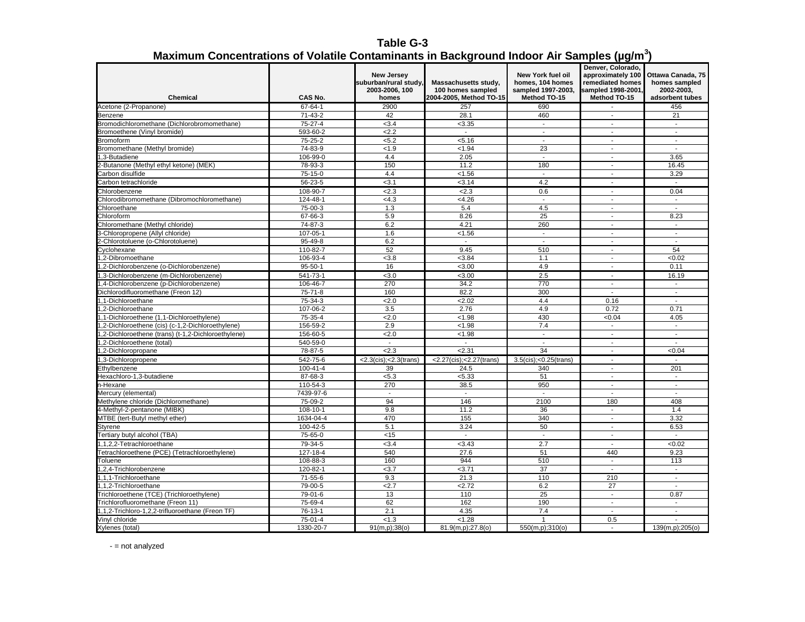**Table G-3 Maximum Concentrations of Volatile Contaminants in Background Indoor Air Samples (µg/m<sup>3</sup> )**

| <b>Chemical</b>                                      | CAS No.        | <b>New Jersey</b><br>suburban/rural study,<br>2003-2006, 100<br>homes | Massachusetts study,<br>100 homes sampled<br>2004-2005, Method TO-15 | <b>New York fuel oil</b><br>homes, 104 homes<br>sampled 1997-2003,<br>Method TO-15 | Denver, Colorado,<br>approximately 100<br>remediated homes<br>sampled 1998-2001,<br>Method TO-15 | Ottawa Canada, 75<br>homes sampled<br>2002-2003.<br>adsorbent tubes |
|------------------------------------------------------|----------------|-----------------------------------------------------------------------|----------------------------------------------------------------------|------------------------------------------------------------------------------------|--------------------------------------------------------------------------------------------------|---------------------------------------------------------------------|
| Acetone (2-Propanone)                                | 67-64-1        | 2900                                                                  | 257                                                                  | 690                                                                                |                                                                                                  | 456                                                                 |
| Benzene                                              | $71 - 43 - 2$  | 42                                                                    | 28.1                                                                 | 460                                                                                | $\blacksquare$                                                                                   | 21                                                                  |
| Bromodichloromethane (Dichlorobromomethane)          | $75-27-4$      | < 3.4                                                                 | < 3.35                                                               | $\blacksquare$                                                                     | $\blacksquare$                                                                                   | $\mathbf{r}$                                                        |
| Bromoethene (Vinyl bromide)                          | 593-60-2       | 2.2                                                                   | $\sim$                                                               | $\blacksquare$                                                                     | $\overline{\phantom{a}}$                                                                         | $\blacksquare$                                                      |
| <b>Bromoform</b>                                     | 75-25-2        | < 5.2                                                                 | < 5.16                                                               | $\mathbf{r}$                                                                       | $\mathbf{r}$                                                                                     | $\sim$                                                              |
| Bromomethane (Methyl bromide)                        | 74-83-9        | < 1.9                                                                 | < 1.94                                                               | 23                                                                                 | $\mathbf{r}$                                                                                     | $\overline{a}$                                                      |
| 1,3-Butadiene                                        | 106-99-0       | 4.4                                                                   | 2.05                                                                 | $\blacksquare$                                                                     | $\overline{\phantom{a}}$                                                                         | 3.65                                                                |
| 2-Butanone (Methyl ethyl ketone) (MEK)               | 78-93-3        | 150                                                                   | 11.2                                                                 | 180                                                                                | $\overline{\phantom{a}}$                                                                         | 16.45                                                               |
| Carbon disulfide                                     | $75-15-0$      | 4.4                                                                   | < 1.56                                                               | $\mathbf{r}$                                                                       | $\mathbf{r}$                                                                                     | 3.29                                                                |
| Carbon tetrachloride                                 | 56-23-5        | < 3.1                                                                 | < 3.14                                                               | 4.2                                                                                | $\overline{\phantom{a}}$                                                                         | $\sim$                                                              |
|                                                      |                |                                                                       |                                                                      |                                                                                    |                                                                                                  |                                                                     |
| Chlorobenzene                                        | 108-90-7       | 2.3                                                                   | 2.3                                                                  | 0.6                                                                                | $\blacksquare$<br>$\overline{a}$                                                                 | 0.04                                                                |
| Chlorodibromomethane (Dibromochloromethane)          | 124-48-1       | <4.3                                                                  | <4.26                                                                | $\sim$                                                                             |                                                                                                  | $\blacksquare$                                                      |
| Chloroethane                                         | 75-00-3        | 1.3                                                                   | 5.4                                                                  | 4.5                                                                                | $\sim$                                                                                           | $\sim$                                                              |
| Chloroform                                           | 67-66-3        | 5.9                                                                   | 8.26                                                                 | 25                                                                                 | $\overline{\phantom{a}}$<br>$\overline{a}$                                                       | 8.23                                                                |
| Chloromethane (Methyl chloride)                      | 74-87-3        | 6.2                                                                   | 4.21                                                                 | 260                                                                                |                                                                                                  | ÷.                                                                  |
| 3-Chloropropene (Allyl chloride)                     | 107-05-1       | 1.6                                                                   | < 1.56                                                               | $\sim$                                                                             | $\mathbf{r}$                                                                                     | $\mathbf{r}$                                                        |
| 2-Chlorotoluene (o-Chlorotoluene)                    | 95-49-8        | 6.2                                                                   | $\sim$                                                               | $\blacksquare$                                                                     | $\overline{\phantom{a}}$                                                                         | $\overline{\phantom{a}}$                                            |
| Cyclohexane                                          | 110-82-7       | 52                                                                    | 9.45                                                                 | 510                                                                                | $\overline{\phantom{a}}$                                                                         | 54                                                                  |
| 1.2-Dibromoethane                                    | 106-93-4       | < 3.8                                                                 | < 3.84                                                               | 1.1                                                                                | $\mathbf{r}$                                                                                     | <0.02                                                               |
| 1,2-Dichlorobenzene (o-Dichlorobenzene)              | $95 - 50 - 1$  | 16                                                                    | < 3.00                                                               | 4.9                                                                                | $\overline{\phantom{a}}$                                                                         | 0.11                                                                |
| ,3-Dichlorobenzene (m-Dichlorobenzene)               | 541-73-1       | < 3.0                                                                 | < 3.00                                                               | 2.5                                                                                | $\overline{a}$                                                                                   | 16.19                                                               |
| 1,4-Dichlorobenzene (p-Dichlorobenzene)              | 106-46-7       | 270                                                                   | 34.2                                                                 | 770                                                                                | $\mathcal{L}^{\mathcal{A}}$                                                                      | $\mathcal{L}$                                                       |
| Dichlorodifluoromethane (Freon 12)                   | $75 - 71 - 8$  | 160                                                                   | 82.2                                                                 | 300                                                                                | $\sim$                                                                                           | $\sim$                                                              |
| 1,1-Dichloroethane                                   | 75-34-3        | 2.0                                                                   | 2.02                                                                 | 4.4                                                                                | 0.16                                                                                             | $\sim$                                                              |
| 1,2-Dichloroethane                                   | 107-06-2       | 3.5                                                                   | 2.76                                                                 | 4.9                                                                                | 0.72                                                                                             | 0.71                                                                |
| 1,1-Dichloroethene (1,1-Dichloroethylene)            | 75-35-4        | 2.0                                                                   | < 1.98                                                               | 430                                                                                | < 0.04                                                                                           | 4.05                                                                |
| ,2-Dichloroethene (cis) (c-1,2-Dichloroethylene)     | 156-59-2       | 2.9                                                                   | < 1.98                                                               | 7.4                                                                                | $\blacksquare$                                                                                   | $\blacksquare$                                                      |
| (1,2-Dichloroethene (trans) (t-1,2-Dichloroethylene) | 156-60-5       | 2.0                                                                   | < 1.98                                                               | $\blacksquare$                                                                     | $\blacksquare$                                                                                   | $\blacksquare$                                                      |
| (1otal) 2-Dichloroethene.                            | 540-59-0       | $\blacksquare$                                                        | $\blacksquare$                                                       | $\overline{\phantom{a}}$                                                           | $\overline{\phantom{a}}$                                                                         | $\overline{\phantom{a}}$                                            |
| ,2-Dichloropropane                                   | 78-87-5        | 2.3                                                                   | 2.31                                                                 | 34                                                                                 | L,                                                                                               | <0.04                                                               |
| 1,3-Dichloropropene                                  | 542-75-6       | $<$ 2.3(cis); $<$ 2.3(trans)                                          | <2.27(cis);<2.27(trans)                                              | 3.5(cis); < 0.25(trans)                                                            | $\mathbf{r}$                                                                                     | $\overline{a}$                                                      |
| Ethylbenzene                                         | $100 - 41 - 4$ | 39                                                                    | 24.5                                                                 | 340                                                                                | $\blacksquare$                                                                                   | 201                                                                 |
| lexachloro-1,3-butadiene                             | 87-68-3        | < 5.3                                                                 | < 5.33                                                               | 51                                                                                 | $\blacksquare$                                                                                   | $\sim$                                                              |
| n-Hexane                                             | 110-54-3       | 270                                                                   | 38.5                                                                 | 950                                                                                | $\overline{a}$                                                                                   | $\mathbf{r}$                                                        |
| Mercury (elemental)                                  | 7439-97-6      | $\blacksquare$                                                        | $\sim$                                                               | $\mathbb{Z}^2$                                                                     | $\blacksquare$                                                                                   | $\blacksquare$                                                      |
| Methylene chloride (Dichloromethane)                 | 75-09-2        | 94                                                                    | 146                                                                  | 2100                                                                               | 180                                                                                              | 408                                                                 |
| 4-Methyl-2-pentanone (MIBK)                          | 108-10-1       | 9.8                                                                   | 11.2                                                                 | 36                                                                                 | $\overline{a}$                                                                                   | 1.4                                                                 |
| MTBE (tert-Butyl methyl ether)                       | 1634-04-4      | 470                                                                   | 155                                                                  | 340                                                                                | $\blacksquare$                                                                                   | 3.32                                                                |
| Styrene                                              | 100-42-5       | 5.1                                                                   | 3.24                                                                 | 50                                                                                 | $\blacksquare$                                                                                   | 6.53                                                                |
| Tertiary butyl alcohol (TBA)                         | 75-65-0        | <15                                                                   | $\overline{a}$                                                       | $\overline{a}$                                                                     | $\overline{a}$                                                                                   | $\overline{a}$                                                      |
| 1,1,2,2-Tetrachloroethane                            | 79-34-5        | < 3.4                                                                 | < 3.43                                                               | 2.7                                                                                | $\sim$                                                                                           | <0.02                                                               |
| Tetrachloroethene (PCE) (Tetrachloroethylene)        | 127-18-4       | 540                                                                   | 27.6                                                                 | 51                                                                                 | 440                                                                                              | 9.23                                                                |
| <b>Toluene</b>                                       | 108-88-3       | 160                                                                   | 944                                                                  | 510                                                                                | $\blacksquare$                                                                                   | 113                                                                 |
| 1.2.4-Trichlorobenzene                               | 120-82-1       | < 3.7                                                                 | < 3.71                                                               | 37                                                                                 | $\sim$                                                                                           | $\sim$                                                              |
| 1,1,1-Trichloroethane                                | 71-55-6        | 9.3                                                                   | 21.3                                                                 | 110                                                                                | 210                                                                                              | $\overline{\phantom{a}}$                                            |
| 1,1,2-Trichloroethane                                | 79-00-5        | 2.7                                                                   | 2.72                                                                 | 6.2                                                                                | 27                                                                                               | $\overline{\phantom{a}}$                                            |
| Trichloroethene (TCE) (Trichloroethylene)            | 79-01-6        | 13                                                                    | 110                                                                  | 25                                                                                 | $\sim$                                                                                           | 0.87                                                                |
| Trichlorofluoromethane (Freon 11)                    | 75-69-4        | 62                                                                    | 162                                                                  | 190                                                                                | $\blacksquare$                                                                                   | $\sim$                                                              |
| 1,1,2-Trichloro-1,2,2-trifluoroethane (Freon TF)     | 76-13-1        | 2.1                                                                   | 4.35                                                                 | 7.4                                                                                | $\overline{\phantom{a}}$                                                                         | $\overline{a}$                                                      |
| Vinyl chloride                                       | 75-01-4        | < 1.3                                                                 | < 1.28                                                               | $\mathbf{1}$                                                                       | 0.5                                                                                              | $\mathbf{r}$                                                        |
| Xylenes (total)                                      | 1330-20-7      | 91(m,p);38(o)                                                         | 81.9(m,p);27.8(o)                                                    | 550(m,p);310(o)                                                                    | $\sim$                                                                                           | 139(m,p);205(o)                                                     |

- = not analyzed